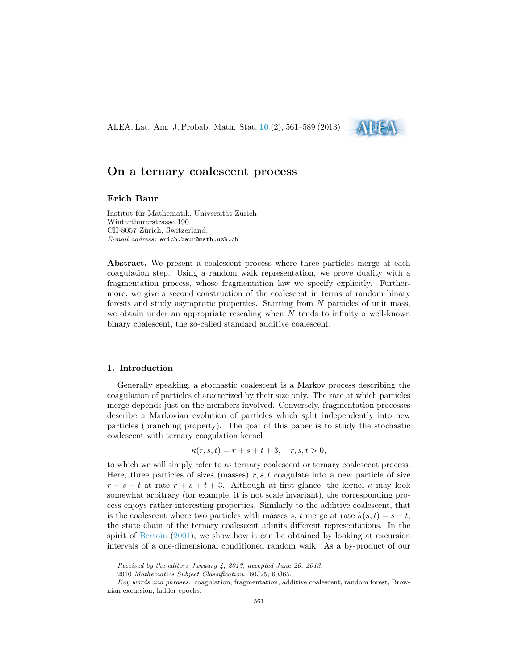

# **On a ternary coalescent process**

## **Erich Baur**

Institut für Mathematik, Universität Zürich Winterthurerstrasse 190 CH-8057 Zürich, Switzerland. *E-mail address*: erich.baur@math.uzh.ch

Abstract. We present a coalescent process where three particles merge at each coagulation step. Using a random walk representation, we prove duality with a fragmentation process, whose fragmentation law we specify explicitly. Furthermore, we give a second construction of the coalescent in terms of random binary forests and study asymptotic properties. Starting from *N* particles of unit mass, we obtain under an appropriate rescaling when *N* tends to infinity a well-known binary coalescent, the so-called standard additive coalescent.

## **1. Introduction**

Generally speaking, a stochastic coalescent is a Markov process describing the coagulation of particles characterized by their size only. The rate at which particles merge depends just on the members involved. Conversely, fragmentation processes describe a Markovian evolution of particles which split independently into new particles (branching property). The goal of this paper is to study the stochastic coalescent with ternary coagulation kernel

$$
\kappa(r, s, t) = r + s + t + 3, \quad r, s, t > 0,
$$

to which we will simply refer to as ternary coalescent or ternary coalescent process. Here, three particles of sizes (masses)  $r, s, t$  coagulate into a new particle of size  $r + s + t$  at rate  $r + s + t + 3$ . Although at first glance, the kernel  $\kappa$  may look somewhat arbitrary (for example, it is not scale invariant), the corresponding process enjoys rather interesting properties. Similarly to the additive coalescent, that is the coalescent where two particles with masses *s*, *t* merge at rate  $\tilde{\kappa}(s,t) = s + t$ , the state chain of the ternary coalescent admits different representations. In the spirit of [Bertoin](#page-27-0) [\(2001](#page-27-0)), we show how it can be obtained by looking at excursion intervals of a one-dimensional conditioned random walk. As a by-product of our

*Received by the editors January 4, 2013; accepted June 20, 2013.*

<sup>2010</sup> *Mathematics Subject Classification.* 60J25; 60J65.

*Key words and phrases.* coagulation, fragmentation, additive coalescent, random forest, Brownian excursion, ladder epochs.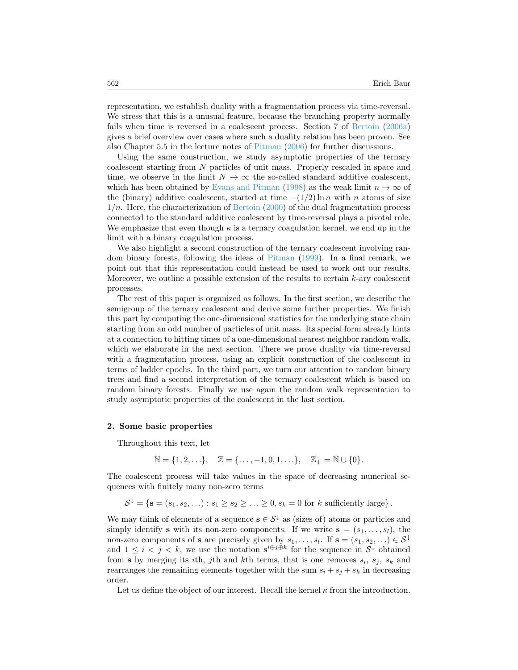representation, we establish duality with a fragmentation process via time-reversal. We stress that this is a unusual feature, because the branching property normally fails when time is reversed in a coalescent process. Section 7 of [Bertoin](#page-28-0) ([2006a](#page-28-0)) gives a brief overview over cases where such a duality relation has been proven. See also Chapter 5.5 in the lecture notes of [Pitman](#page-28-1) ([2006\)](#page-28-1) for further discussions.

Using the same construction, we study asymptotic properties of the ternary coalescent starting from *N* particles of unit mass. Properly rescaled in space and time, we observe in the limit  $N \to \infty$  the so-called standard additive coalescent, which has been obtained by [Evans and Pitman](#page-28-2) [\(1998](#page-28-2)) as the weak limit  $n \to \infty$  of the (binary) additive coalescent, started at time  $-(1/2) \ln n$  with *n* atoms of size 1*/n*. Here, the characterization of [Bertoin](#page-27-1) ([2000](#page-27-1)) of the dual fragmentation process connected to the standard additive coalescent by time-reversal plays a pivotal role. We emphasize that even though  $\kappa$  is a ternary coagulation kernel, we end up in the limit with a binary coagulation process.

We also highlight a second construction of the ternary coalescent involving random binary forests, following the ideas of [Pitman](#page-28-3) ([1999\)](#page-28-3). In a final remark, we point out that this representation could instead be used to work out our results. Moreover, we outline a possible extension of the results to certain *k*-ary coalescent processes.

The rest of this paper is organized as follows. In the first section, we describe the semigroup of the ternary coalescent and derive some further properties. We finish this part by computing the one-dimensional statistics for the underlying state chain starting from an odd number of particles of unit mass. Its special form already hints at a connection to hitting times of a one-dimensional nearest neighbor random walk, which we elaborate in the next section. There we prove duality via time-reversal with a fragmentation process, using an explicit construction of the coalescent in terms of ladder epochs. In the third part, we turn our attention to random binary trees and find a second interpretation of the ternary coalescent which is based on random binary forests. Finally we use again the random walk representation to study asymptotic properties of the coalescent in the last section.

#### **2. Some basic properties**

Throughout this text, let

$$
\mathbb{N} = \{1, 2, \ldots\}, \quad \mathbb{Z} = \{\ldots, -1, 0, 1, \ldots\}, \quad \mathbb{Z}_+ = \mathbb{N} \cup \{0\}.
$$

The coalescent process will take values in the space of decreasing numerical sequences with finitely many non-zero terms

$$
\mathcal{S}^{\downarrow} = \{ \mathbf{s} = (s_1, s_2, \ldots) : s_1 \ge s_2 \ge \ldots \ge 0, s_k = 0 \text{ for } k \text{ sufficiently large} \}.
$$

We may think of elements of a sequence  $\mathbf{s} \in \mathcal{S}^{\downarrow}$  as (sizes of) atoms or particles and simply identify **s** with its non-zero components. If we write  $\mathbf{s} = (s_1, \ldots, s_l)$ , the non-zero components of **s** are precisely given by  $s_1, \ldots, s_l$ . If  $\mathbf{s} = (s_1, s_2, \ldots) \in \mathcal{S}^{\downarrow}$ and  $1 \leq i \leq j \leq k$ , we use the notation  $\mathbf{s}^{i\oplus j\oplus k}$  for the sequence in  $\mathcal{S}^{\downarrow}$  obtained from **s** by merging its *i*th, *j*th and *k*th terms, that is one removes  $s_i$ ,  $s_j$ ,  $s_k$  and rearranges the remaining elements together with the sum  $s_i + s_j + s_k$  in decreasing order.

Let us define the object of our interest. Recall the kernel *κ* from the introduction.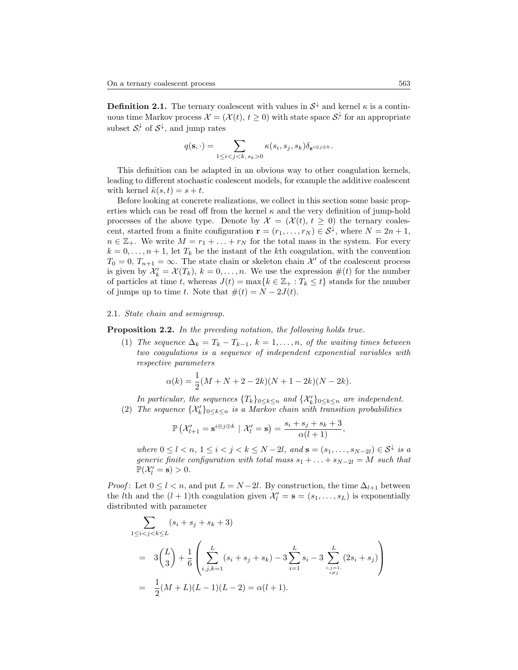**Definition 2.1.** The ternary coalescent with values in  $S^{\downarrow}$  and kernel  $\kappa$  is a continuous time Markov process  $\mathcal{X} = (\mathcal{X}(t), t \ge 0)$  with state space  $\mathcal{S}_t^{\downarrow}$  for an appropriate subset  $S^{\downarrow}$  of  $S^{\downarrow}$ , and jump rates

$$
q(\mathbf{s},\cdot) = \sum_{1 \leq i < j < k, s_k > 0} \kappa(s_i, s_j, s_k) \delta_{\mathbf{s}^i \oplus j \oplus k}.
$$

This definition can be adapted in an obvious way to other coagulation kernels, leading to different stochastic coalescent models, for example the additive coalescent with kernel  $\tilde{\kappa}(s,t) = s + t$ .

Before looking at concrete realizations, we collect in this section some basic properties which can be read off from the kernel  $\kappa$  and the very definition of jump-hold processes of the above type. Denote by  $\mathcal{X} = (\mathcal{X}(t), t \geq 0)$  the ternary coalescent, started from a finite configuration  $\mathbf{r} = (r_1, \ldots, r_N) \in S^{\downarrow}$ , where  $N = 2n + 1$ ,  $n \in \mathbb{Z}_+$ . We write  $M = r_1 + \ldots + r_N$  for the total mass in the system. For every  $k = 0, \ldots, n + 1$ , let  $T_k$  be the instant of the *k*th coagulation, with the convention  $T_0 = 0$ ,  $T_{n+1} = \infty$ . The state chain or skeleton chain  $\mathcal{X}'$  of the coalescent process is given by  $\mathcal{X}'_k = \mathcal{X}(T_k)$ ,  $k = 0, \ldots, n$ . We use the expression  $\#(t)$  for the number of particles at time *t*, whereas  $J(t) = \max\{k \in \mathbb{Z}_+ : T_k \le t\}$  stands for the number of jumps up to time *t*. Note that  $#(t) = N - 2J(t)$ .

#### 2.1. *State chain and semigroup.*

<span id="page-2-0"></span>**Proposition 2.2.** *In the preceding notation, the following holds true.*

(1) *The sequence*  $\Delta_k = T_k - T_{k-1}$ ,  $k = 1, \ldots, n$ , of the waiting times between *two coagulations is a sequence of independent exponential variables with respective parameters*

$$
\alpha(k) = \frac{1}{2}(M+N+2-2k)(N+1-2k)(N-2k).
$$

*In particular, the sequences*  $\{T_k\}_{0 \leq k \leq n}$  *and*  $\{\mathcal{X}'_k\}_{0 \leq k \leq n}$  *are independent.* (2) *The sequence*  $\{\mathcal{X}'_k\}_{0 \leq k \leq n}$  *is a Markov chain with transition probabilities* 

$$
\mathbb{P}\left(\mathcal{X}'_{l+1} = \mathbf{s}^{i \oplus j \oplus k} \mid \mathcal{X}'_{l} = \mathbf{s}\right) = \frac{s_i + s_j + s_k + 3}{\alpha(l+1)},
$$

*where*  $0 \le l < n$ ,  $1 \le i < j < k \le N - 2l$ , and  $\mathbf{s} = (s_1, \ldots, s_{N-2l}) \in S^{\downarrow}$  *is a generic finite configuration with total mass*  $s_1 + \ldots + s_{N-2l} = M$  *such that*  $\mathbb{P}(\mathcal{X}'_l = \mathbf{s}) > 0.$ 

*Proof*: Let  $0 \leq l < n$ , and put  $L = N - 2l$ . By construction, the time  $\Delta_{l+1}$  between the *l*th and the  $(l + 1)$ <sup>th</sup> coagulation given  $\mathcal{X}'_l = \mathbf{s} = (s_1, \ldots, s_L)$  is exponentially distributed with parameter

$$
\sum_{1 \le i < j < k \le L} (s_i + s_j + s_k + 3)
$$
\n
$$
= 3\binom{L}{3} + \frac{1}{6} \left( \sum_{i,j,k=1}^L (s_i + s_j + s_k) - 3 \sum_{i=1}^L s_i - 3 \sum_{i,j=1, \atop i \ne j}^L (2s_i + s_j) \right)
$$
\n
$$
= \frac{1}{2} (M + L)(L - 1)(L - 2) = \alpha (l + 1).
$$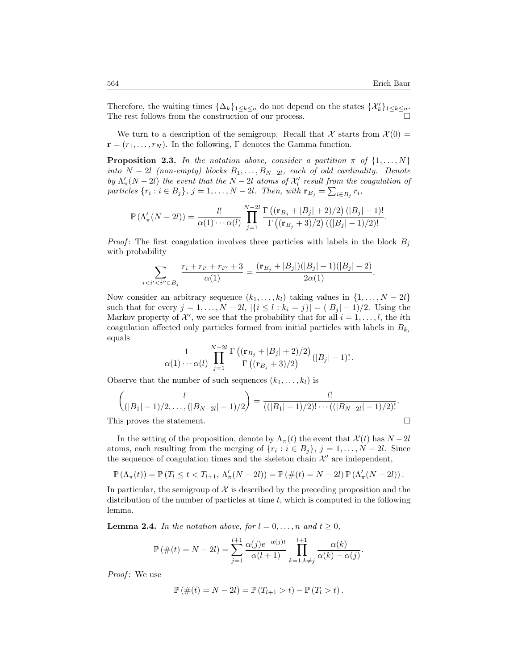Therefore, the waiting times  $\{\Delta_k\}_{1 \leq k \leq n}$  do not depend on the states  $\{\mathcal{X}'_k\}_{1 \leq k \leq n}$ . The rest follows from the construction of our process.

We turn to a description of the semigroup. Recall that  $\mathcal X$  starts from  $\mathcal X(0)$  =  $\mathbf{r} = (r_1, \ldots, r_N)$ . In the following, Γ denotes the Gamma function.

<span id="page-3-0"></span>**Proposition 2.3.** *In the notation above, consider a partition*  $\pi$  *of*  $\{1, \ldots, N\}$ *into*  $N - 2l$  *(non-empty) blocks*  $B_1, \ldots, B_{N-2l}$ *, each of odd cardinality. Denote by*  $\Lambda'_\pi(N-2l)$  *the event that the*  $N-2l$  *atoms of*  $\mathcal{X}'_l$  *result from the coagulation of* particles  $\{r_i : i \in B_j\}, j = 1, ..., N - 2l$ . Then, with  $\mathbf{r}_{B_j} = \sum_{i \in B_j} r_i$ ,

$$
\mathbb{P}\left(\Lambda'_{\pi}(N-2l)\right)=\frac{l!}{\alpha(1)\cdots\alpha(l)}\prod_{j=1}^{N-2l}\frac{\Gamma\left((\mathbf{r}_{B_j}+|B_j|+2)/2\right)(|B_j|-1)!}{\Gamma\left((\mathbf{r}_{B_j}+3)/2\right)((|B_j|-1)/2)!}.
$$

*Proof*: The first coagulation involves three particles with labels in the block  $B_j$ with probability

$$
\sum_{i
$$

Now consider an arbitrary sequence  $(k_1, \ldots, k_l)$  taking values in  $\{1, \ldots, N-2l\}$ such that for every  $j = 1, ..., N - 2l$ ,  $|\{i \leq l : k_i = j\}| = (|B_j| - 1)/2$ . Using the Markov property of  $\mathcal{X}'$ , we see that the probability that for all  $i = 1, \ldots, l$ , the *i*th coagulation affected only particles formed from initial particles with labels in  $B_{k_i}$ equals

$$
\frac{1}{\alpha(1)\cdots\alpha(l)}\prod_{j=1}^{N-2l}\frac{\Gamma\left((\mathbf{r}_{B_j}+|B_j|+2)/2\right)}{\Gamma\left((\mathbf{r}_{B_j}+3)/2\right)}(|B_j|-1)!\,.
$$

Observe that the number of such sequences  $(k_1, \ldots, k_l)$  is

$$
\binom{l}{(|B_1|-1)/2,\ldots,(|B_{N-2l}|-1)/2} = \frac{l!}{((|B_1|-1)/2)!\cdots((|B_{N-2l}|-1)/2)!}.
$$
\nThis proves the statement.

In the setting of the proposition, denote by  $\Lambda_{\pi}(t)$  the event that  $\mathcal{X}(t)$  has  $N-2l$ atoms, each resulting from the merging of  $\{r_i : i \in B_j\}$ ,  $j = 1, \ldots, N - 2l$ . Since the sequence of coagulation times and the skeleton chain  $\mathcal{X}'$  are independent,

$$
\mathbb{P}\left(\Lambda_{\pi}(t)\right)=\mathbb{P}\left(T_l\leq t
$$

In particular, the semigroup of  $\mathcal X$  is described by the preceding proposition and the distribution of the number of particles at time *t*, which is computed in the following lemma.

**Lemma 2.4.** *In the notation above, for*  $l = 0, \ldots, n$  *and*  $t \geq 0$ *,* 

$$
\mathbb{P}(\#(t) = N - 2l) = \sum_{j=1}^{l+1} \frac{\alpha(j)e^{-\alpha(j)t}}{\alpha(l+1)} \prod_{k=1, k \neq j}^{l+1} \frac{\alpha(k)}{\alpha(k) - \alpha(j)}.
$$

*Proof* : We use

$$
\mathbb{P}(\#(t) = N - 2l) = \mathbb{P}(T_{l+1} > t) - \mathbb{P}(T_l > t).
$$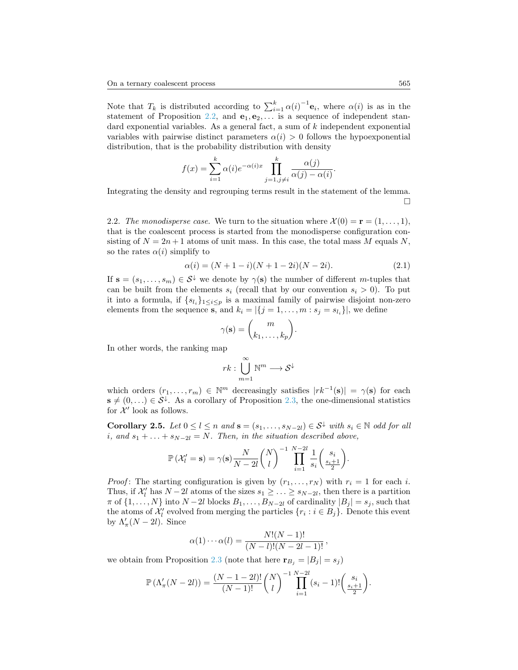Note that  $T_k$  is distributed according to  $\sum_{i=1}^k \alpha(i)^{-1} \mathbf{e}_i$ , where  $\alpha(i)$  is as in the statement of Proposition [2.2](#page-2-0), and  $e_1, e_2, \ldots$  is a sequence of independent standard exponential variables. As a general fact, a sum of *k* independent exponential variables with pairwise distinct parameters  $\alpha(i) > 0$  follows the hypoexponential distribution, that is the probability distribution with density

$$
f(x) = \sum_{i=1}^{k} \alpha(i) e^{-\alpha(i)x} \prod_{j=1, j \neq i}^{k} \frac{\alpha(j)}{\alpha(j) - \alpha(i)}.
$$

Integrating the density and regrouping terms result in the statement of the lemma.  $\Box$ 

<span id="page-4-1"></span>2.2. *The monodisperse case.* We turn to the situation where  $\mathcal{X}(0) = \mathbf{r} = (1, \ldots, 1)$ , that is the coalescent process is started from the monodisperse configuration consisting of  $N = 2n + 1$  atoms of unit mass. In this case, the total mass M equals N, so the rates  $\alpha(i)$  simplify to

<span id="page-4-2"></span>
$$
\alpha(i) = (N + 1 - i)(N + 1 - 2i)(N - 2i). \tag{2.1}
$$

*.*

If  $\mathbf{s} = (s_1, \ldots, s_m) \in \mathcal{S}^{\downarrow}$  we denote by  $\gamma(\mathbf{s})$  the number of different *m*-tuples that can be built from the elements  $s_i$  (recall that by our convention  $s_i > 0$ ). To put it into a formula, if  $\{s_{l_i}\}_{1 \leq i \leq p}$  is a maximal family of pairwise disjoint non-zero elements from the sequence **s**, and  $k_i = |\{j = 1, ..., m : s_j = s_{l_i}\}|$ , we define

$$
\gamma(\mathbf{s}) = \binom{m}{k_1, \ldots, k_p}
$$

In other words, the ranking map

$$
rk:\bigcup_{m=1}^\infty{\mathbb{N}}^m\longrightarrow{\mathcal S}^\downarrow
$$

which orders  $(r_1, \ldots, r_m) \in \mathbb{N}^m$  decreasingly satisfies  $|rk^{-1}(\mathbf{s})| = \gamma(\mathbf{s})$  for each  $\mathbf{s} \neq (0, \ldots) \in \mathcal{S}^{\downarrow}$ . As a corollary of Proposition [2.3,](#page-3-0) the one-dimensional statistics for  $\mathcal{X}'$  look as follows.

<span id="page-4-0"></span>**Corollary 2.5.** Let  $0 \leq l \leq n$  and  $\mathbf{s} = (s_1, \ldots, s_{N-2l}) \in S^{\downarrow}$  with  $s_i \in \mathbb{N}$  odd for all  $i, \text{ and } s_1 + \ldots + s_{N-2l} = N$ *. Then, in the situation described above,* 

$$
\mathbb{P}\left(\mathcal{X}'_l=\mathbf{s}\right)=\gamma(\mathbf{s})\frac{N}{N-2l}\binom{N}{l}^{-1}\prod_{i=1}^{N-2l}\frac{1}{s_i}\binom{s_i}{\frac{s_i+1}{2}}.
$$

*Proof*: The starting configuration is given by  $(r_1, \ldots, r_N)$  with  $r_i = 1$  for each *i*. Thus, if  $\mathcal{X}'_l$  has  $N-2l$  atoms of the sizes  $s_1 \geq \ldots \geq s_{N-2l}$ , then there is a partition  $\pi$  of  $\{1, \ldots, N\}$  into  $N-2l$  blocks  $B_1, \ldots, B_{N-2l}$  of cardinality  $|B_j| = s_j$ , such that the atoms of  $\mathcal{X}'_l$  evolved from merging the particles  $\{r_i : i \in B_j\}$ . Denote this event by  $\Lambda'_{\pi}(N-2l)$ . Since

$$
\alpha(1)\cdots\alpha(l) = \frac{N!(N-1)!}{(N-l)!(N-2l-1)!},
$$

we obtain from Proposition [2.3](#page-3-0) (note that here  $\mathbf{r}_{B_j} = |B_j| = s_j$ )

$$
\mathbb{P}\left(\Lambda'_{\pi}(N-2l)\right) = \frac{(N-1-2l)!}{(N-1)!} \binom{N}{l}^{-1} \prod_{i=1}^{N-2l} (s_i-1)! \binom{s_i}{\frac{s_i+1}{2}}.
$$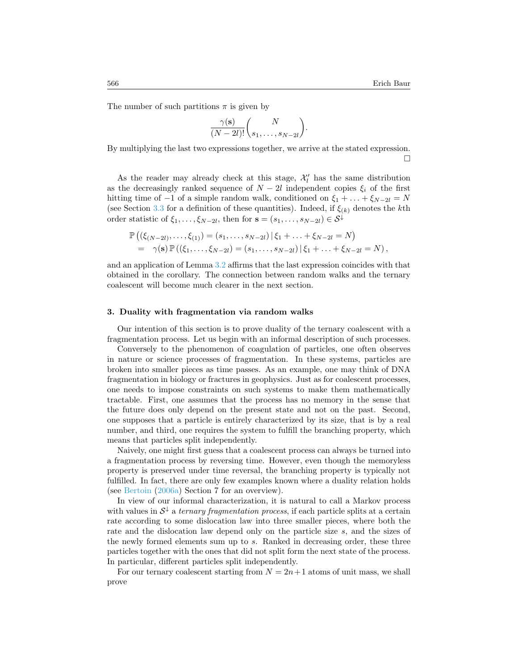The number of such partitions  $\pi$  is given by

$$
\frac{\gamma(\mathbf{s})}{(N-2l)!} \binom{N}{s_1,\ldots,s_{N-2l}}.
$$

By multiplying the last two expressions together, we arrive at the stated expression.  $\Box$ 

As the reader may already check at this stage,  $\mathcal{X}'_l$  has the same distribution as the decreasingly ranked sequence of  $N-2l$  independent copies  $\xi_i$  of the first hitting time of  $-1$  of a simple random walk, conditioned on  $\xi_1 + \ldots + \xi_{N-2l} = N$ (see Section [3.3](#page-8-0) for a definition of these quantities). Indeed, if  $\xi_{(k)}$  denotes the *k*th order statistic of  $\xi_1, \ldots, \xi_{N-2l}$ , then for  $\mathbf{s} = (s_1, \ldots, s_{N-2l}) \in \mathcal{S}^{\downarrow}$ 

$$
\mathbb{P}\left((\xi_{(N-2l)},\ldots,\xi_{(1)})=(s_1,\ldots,s_{N-2l})\,|\,\xi_1+\ldots+\xi_{N-2l}=N\right) \n= \gamma(\mathbf{s})\,\mathbb{P}\left((\xi_1,\ldots,\xi_{N-2l})=(s_1,\ldots,s_{N-2l})\,|\,\xi_1+\ldots+\xi_{N-2l}=N\right),
$$

and an application of Lemma [3.2](#page-8-1) affirms that the last expression coincides with that obtained in the corollary. The connection between random walks and the ternary coalescent will become much clearer in the next section.

#### <span id="page-5-0"></span>**3. Duality with fragmentation via random walks**

Our intention of this section is to prove duality of the ternary coalescent with a fragmentation process. Let us begin with an informal description of such processes.

Conversely to the phenomenon of coagulation of particles, one often observes in nature or science processes of fragmentation. In these systems, particles are broken into smaller pieces as time passes. As an example, one may think of DNA fragmentation in biology or fractures in geophysics. Just as for coalescent processes, one needs to impose constraints on such systems to make them mathematically tractable. First, one assumes that the process has no memory in the sense that the future does only depend on the present state and not on the past. Second, one supposes that a particle is entirely characterized by its size, that is by a real number, and third, one requires the system to fulfill the branching property, which means that particles split independently.

Naively, one might first guess that a coalescent process can always be turned into a fragmentation process by reversing time. However, even though the memoryless property is preserved under time reversal, the branching property is typically not fulfilled. In fact, there are only few examples known where a duality relation holds (see [Bertoin](#page-28-0) [\(2006a](#page-28-0)) Section 7 for an overview).

In view of our informal characterization, it is natural to call a Markov process with values in  $S^{\downarrow}$  a *ternary fragmentation process*, if each particle splits at a certain rate according to some dislocation law into three smaller pieces, where both the rate and the dislocation law depend only on the particle size *s*, and the sizes of the newly formed elements sum up to *s*. Ranked in decreasing order, these three particles together with the ones that did not split form the next state of the process. In particular, different particles split independently.

For our ternary coalescent starting from  $N = 2n + 1$  atoms of unit mass, we shall prove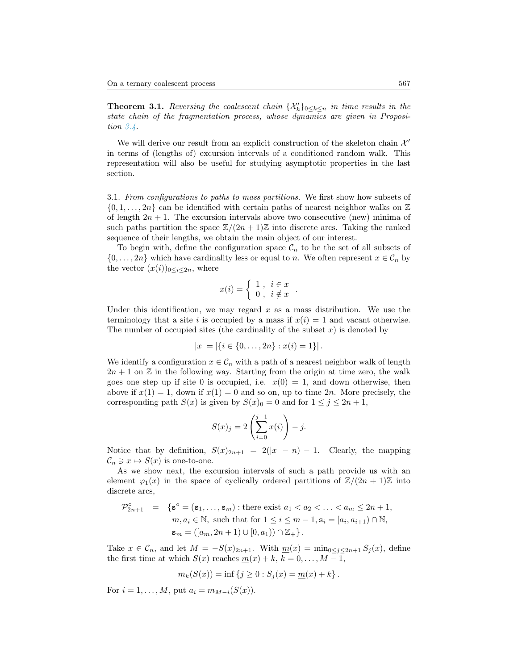<span id="page-6-1"></span>**Theorem 3.1.** *Reversing the coalescent chain*  $\{\mathcal{X}'_k\}_{0 \leq k \leq n}$  *in time results in the state chain of the fragmentation process, whose dynamics are given in Proposition [3.4.](#page-9-0)*

We will derive our result from an explicit construction of the skeleton chain  $\mathcal{X}'$ in terms of (lengths of) excursion intervals of a conditioned random walk. This representation will also be useful for studying asymptotic properties in the last section.

<span id="page-6-0"></span>3.1. *From configurations to paths to mass partitions.* We first show how subsets of  $\{0, 1, \ldots, 2n\}$  can be identified with certain paths of nearest neighbor walks on  $\mathbb{Z}$ of length  $2n + 1$ . The excursion intervals above two consecutive (new) minima of such paths partition the space  $\mathbb{Z}/(2n+1)\mathbb{Z}$  into discrete arcs. Taking the ranked sequence of their lengths, we obtain the main object of our interest.

To begin with, define the configuration space  $\mathcal{C}_n$  to be the set of all subsets of  $\{0, \ldots, 2n\}$  which have cardinality less or equal to *n*. We often represent  $x \in C_n$  by the vector  $(x(i))_{0 \leq i \leq 2n}$ , where

$$
x(i) = \begin{cases} 1, & i \in x \\ 0, & i \notin x \end{cases}.
$$

Under this identification, we may regard *x* as a mass distribution. We use the terminology that a site *i* is occupied by a mass if  $x(i) = 1$  and vacant otherwise. The number of occupied sites (the cardinality of the subset *x*) is denoted by

$$
|x| = |\{i \in \{0, \ldots, 2n\} : x(i) = 1\}|.
$$

We identify a configuration  $x \in \mathcal{C}_n$  with a path of a nearest neighbor walk of length  $2n + 1$  on  $\mathbb Z$  in the following way. Starting from the origin at time zero, the walk goes one step up if site 0 is occupied, i.e.  $x(0) = 1$ , and down otherwise, then above if  $x(1) = 1$ , down if  $x(1) = 0$  and so on, up to time  $2n$ . More precisely, the corresponding path *S*(*x*) is given by *S*(*x*)<sub>0</sub> = 0 and for  $1 \le j \le 2n + 1$ ,

$$
S(x)_{j} = 2\left(\sum_{i=0}^{j-1} x(i)\right) - j.
$$

Notice that by definition,  $S(x)_{2n+1} = 2(|x| - n) - 1$ . Clearly, the mapping  $C_n \ni x \mapsto S(x)$  is one-to-one.

As we show next, the excursion intervals of such a path provide us with an element  $\varphi_1(x)$  in the space of cyclically ordered partitions of  $\mathbb{Z}/(2n+1)\mathbb{Z}$  into discrete arcs,

$$
\mathcal{P}_{2n+1}^{\circ} = \{ \mathbf{s}^{\circ} = (\mathbf{s}_1, \dots, \mathbf{s}_m) : \text{there exist } a_1 < a_2 < \dots < a_m \le 2n+1, \\ m, a_i \in \mathbb{N}, \text{ such that for } 1 \le i \le m-1, \mathbf{s}_i = [a_i, a_{i+1}) \cap \mathbb{N}, \\ \mathbf{s}_m = ([a_m, 2n+1) \cup [0, a_1)) \cap \mathbb{Z}_+ \}.
$$

Take  $x \in \mathcal{C}_n$ , and let  $M = -S(x)_{2n+1}$ . With  $\underline{m}(x) = \min_{0 \leq j \leq 2n+1} S_j(x)$ , define the first time at which  $S(x)$  reaches  $m(x) + k$ ,  $k = 0, \ldots, M - 1$ ,

$$
m_k(S(x)) = \inf \{ j \ge 0 : S_j(x) = \underline{m}(x) + k \} .
$$

For  $i = 1, ..., M$ , put  $a_i = m_{M-i}(S(x))$ .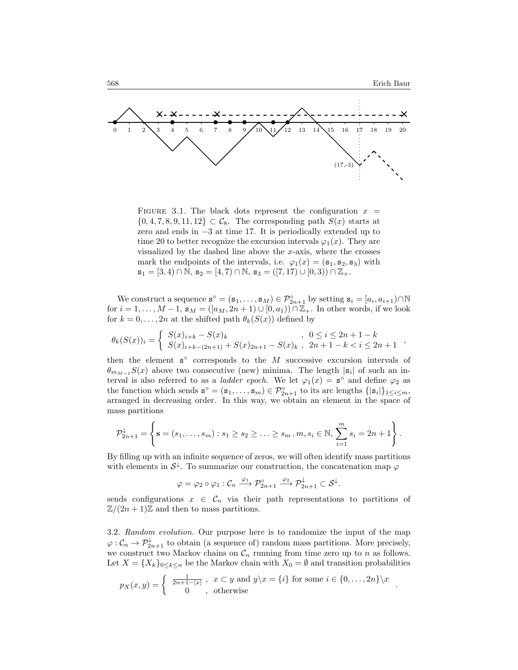

FIGURE 3.1. The black dots represent the configuration  $x =$  $\{0, 4, 7, 8, 9, 11, 12\} \subset \mathcal{C}_8$ . The corresponding path  $S(x)$  starts at zero and ends in *−*3 at time 17. It is periodically extended up to time 20 to better recognize the excursion intervals  $\varphi_1(x)$ . They are visualized by the dashed line above the *x*-axis, where the crosses mark the endpoints of the intervals, i.e.  $\varphi_1(x) = (\mathbf{s}_1, \mathbf{s}_2, \mathbf{s}_3)$  with  $\mathbf{s}_1 = [3, 4) \cap \mathbb{N}, \, \mathbf{s}_2 = [4, 7) \cap \mathbb{N}, \, \mathbf{s}_3 = ([7, 17) \cup [0, 3)) \cap \mathbb{Z}_+.$ 

We construct a sequence  $\mathbf{s}^{\circ} = (\mathbf{s}_1, \dots, \mathbf{s}_M) \in \mathcal{P}_{2n+1}^{\circ}$  by setting  $\mathbf{s}_i = [a_i, a_{i+1}) \cap \mathbb{N}$ for  $i = 1, ..., M − 1$ ,  $\mathbf{s}_M = (\lbrack a_M, 2n + 1 \rbrack) \cup \lbrack 0, a_1 \rbrack) \cap \mathbb{Z}_+$ . In other words, if we look for  $k = 0, \ldots, 2n$  at the shifted path  $\theta_k(S(x))$  defined by

$$
\theta_k(S(x))_i = \begin{cases} S(x)_{i+k} - S(x)_k & , \quad 0 \le i \le 2n+1-k \\ S(x)_{i+k-(2n+1)} + S(x)_{2n+1} - S(x)_k & , \quad 2n+1-k & < i \le 2n+1 \end{cases}
$$

then the element s *◦* corresponds to the *M* successive excursion intervals of  $\theta_{m_{M-1}} S(x)$  above two consecutive (new) minima. The length  $|s_i|$  of such an interval is also referred to as a *ladder epoch*. We let  $\varphi_1(x) = s^\circ$  and define  $\varphi_2$  as the function which sends  $\mathbf{s}^{\circ} = (\mathbf{s}_1, \dots, \mathbf{s}_m) \in \mathcal{P}^{\circ}_{2n+1}$  to its arc lengths  $\{|\mathbf{s}_i|\}_{1 \leq i \leq m}$ , arranged in decreasing order. In this way, we obtain an element in the space of mass partitions

$$
\mathcal{P}_{2n+1}^{\downarrow} = \left\{ \mathbf{s} = (s_1, \dots, s_m) : s_1 \ge s_2 \ge \dots \ge s_m, m, s_i \in \mathbb{N}, \sum_{i=1}^m s_i = 2n+1 \right\}.
$$

By filling up with an infinite sequence of zeros, we will often identify mass partitions with elements in  $S^{\downarrow}$ . To summarize our construction, the concatenation map  $\varphi$ 

$$
\varphi = \varphi_2 \circ \varphi_1 : \mathcal{C}_n \xrightarrow{\varphi_1} \mathcal{P}_{2n+1}^{\circ} \xrightarrow{\varphi_2} \mathcal{P}_{2n+1}^{\downarrow} \subset \mathcal{S}^{\downarrow}.
$$

sends configurations  $x \in \mathcal{C}_n$  via their path representations to partitions of  $\mathbb{Z}/(2n+1)\mathbb{Z}$  and then to mass partitions.

<span id="page-7-0"></span>3.2. *Random evolution.* Our purpose here is to randomize the input of the map  $\varphi: \mathcal{C}_n \to \mathcal{P}_{2n+1}^{\downarrow}$  to obtain (a sequence of) random mass partitions. More precisely, we construct two Markov chains on  $C_n$  running from time zero up to  $n$  as follows. Let  $X = \{X_k\}_{0 \le k \le n}$  be the Markov chain with  $X_0 = \emptyset$  and transition probabilities

$$
p_X(x,y) = \begin{cases} \frac{1}{2n+1-|x|}, & x \subset y \text{ and } y \backslash x = \{i\} \text{ for some } i \in \{0,\ldots,2n\} \backslash x \\ 0, & \text{otherwise} \end{cases}.
$$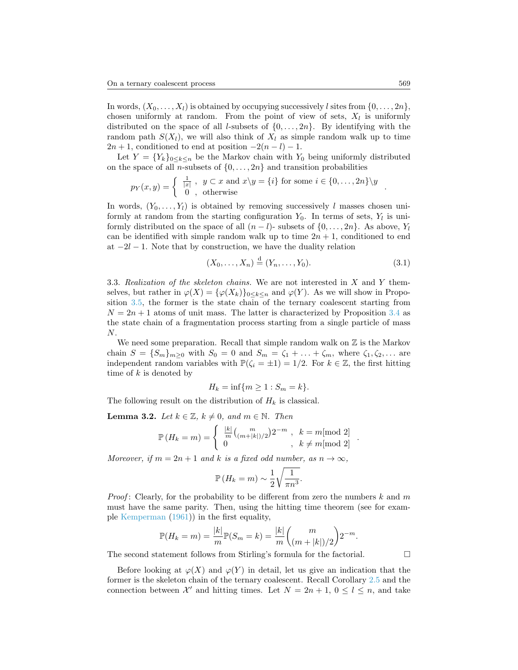In words,  $(X_0, \ldots, X_l)$  is obtained by occupying successively *l* sites from  $\{0, \ldots, 2n\}$ , chosen uniformly at random. From the point of view of sets,  $X_l$  is uniformly distributed on the space of all *l*-subsets of  $\{0, \ldots, 2n\}$ . By identifying with the random path  $S(X_l)$ , we will also think of  $X_l$  as simple random walk up to time  $2n + 1$ , conditioned to end at position  $-2(n - l) - 1$ .

Let  $Y = \{Y_k\}_{0 \leq k \leq n}$  be the Markov chain with  $Y_0$  being uniformly distributed on the space of all *n*-subsets of  $\{0, \ldots, 2n\}$  and transition probabilities

$$
p_Y(x,y) = \begin{cases} \frac{1}{|x|}, & y \subset x \text{ and } x \backslash y = \{i\} \text{ for some } i \in \{0,\ldots,2n\} \backslash y \\ 0, & \text{otherwise} \end{cases}.
$$

In words,  $(Y_0, \ldots, Y_l)$  is obtained by removing successively *l* masses chosen uniformly at random from the starting configuration  $Y_0$ . In terms of sets,  $Y_l$  is uniformly distributed on the space of all  $(n - l)$ - subsets of  $\{0, \ldots, 2n\}$ . As above,  $Y_l$ can be identified with simple random walk up to time  $2n + 1$ , conditioned to end at *−*2*l −* 1. Note that by construction, we have the duality relation

<span id="page-8-2"></span>
$$
(X_0, \dots, X_n) \stackrel{\text{d}}{=} (Y_n, \dots, Y_0). \tag{3.1}
$$

<span id="page-8-0"></span>3.3. *Realization of the skeleton chains.* We are not interested in *X* and *Y* themselves, but rather in  $\varphi(X) = {\varphi(X_k)}_{0 \leq k \leq n}$  and  $\varphi(Y)$ . As we will show in Proposition [3.5,](#page-11-0) the former is the state chain of the ternary coalescent starting from  $N = 2n + 1$  atoms of unit mass. The latter is characterized by Proposition [3.4](#page-9-0) as the state chain of a fragmentation process starting from a single particle of mass *N*.

We need some preparation. Recall that simple random walk on  $\mathbb Z$  is the Markov chain  $S = \{S_m\}_{m>0}$  with  $S_0 = 0$  and  $S_m = \zeta_1 + \ldots + \zeta_m$ , where  $\zeta_1, \zeta_2, \ldots$  are independent random variables with  $\mathbb{P}(\zeta_i = \pm 1) = 1/2$ . For  $k \in \mathbb{Z}$ , the first hitting time of *k* is denoted by

$$
H_k = \inf\{m \ge 1 : S_m = k\}.
$$

The following result on the distribution of *H<sup>k</sup>* is classical.

<span id="page-8-1"></span>**Lemma 3.2.** *Let*  $k \in \mathbb{Z}$ *,*  $k \neq 0$ *, and*  $m \in \mathbb{N}$ *. Then* 

$$
\mathbb{P}(H_k = m) = \begin{cases} \frac{|k|}{m} {m \choose (m+|k|)/2} 2^{-m}, & k = m \text{[mod 2]} \\ 0 & , k \neq m \text{[mod 2]} \end{cases}
$$

*Moreover, if*  $m = 2n + 1$  *and*  $k$  *is a fixed odd number, as*  $n \rightarrow \infty$ *,* 

$$
\mathbb{P}\left(H_k = m\right) \sim \frac{1}{2} \sqrt{\frac{1}{\pi n^3}}.
$$

*Proof* : Clearly, for the probability to be different from zero the numbers *k* and *m* must have the same parity. Then, using the hitting time theorem (see for example [Kemperman](#page-28-4) [\(1961](#page-28-4))) in the first equality,

$$
\mathbb{P}(H_k = m) = \frac{|k|}{m} \mathbb{P}(S_m = k) = \frac{|k|}{m} {m \choose (m+|k|)/2} 2^{-m}.
$$

The second statement follows from Stirling's formula for the factorial.  $\Box$ 

*.*

Before looking at  $\varphi(X)$  and  $\varphi(Y)$  in detail, let us give an indication that the former is the skeleton chain of the ternary coalescent. Recall Corollary [2.5](#page-4-0) and the connection between  $\mathcal{X}'$  and hitting times. Let  $N = 2n + 1$ ,  $0 \leq l \leq n$ , and take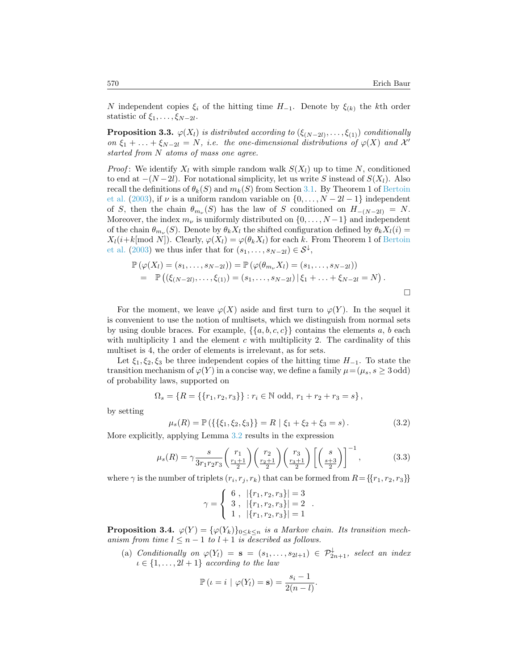*N* independent copies  $\xi_i$  of the hitting time  $H_{-1}$ . Denote by  $\xi_{(k)}$  the *k*th order statistic of  $\xi_1, \ldots, \xi_{N-2l}$ .

<span id="page-9-1"></span>**Proposition 3.3.**  $\varphi(X_l)$  is distributed according to  $(\xi_{(N-2l)}, \ldots, \xi_{(1)})$  conditionally *on*  $\xi_1 + \ldots + \xi_{N-2l} = N$ , *i.e.* the one-dimensional distributions of  $\varphi(X)$  and  $\mathcal{X}'$ *started from N atoms of mass one agree.*

*Proof*: We identify  $X_l$  with simple random walk  $S(X_l)$  up to time *N*, conditioned to end at  $-(N-2l)$ . For notational simplicity, let us write *S* instead of  $S(X_l)$ . Also recall the definitions of  $\theta_k(S)$  and  $m_k(S)$  from Section [3.1.](#page-6-0) By Theorem 1 of [Bertoin](#page-28-5) [et al.](#page-28-5) ([2003\)](#page-28-5), if *v* is a uniform random variable on  $\{0, \ldots, N-2l-1\}$  independent of *S*, then the chain  $\theta_{m_{\nu}}(S)$  has the law of *S* conditioned on  $H_{-(N-2l)} = N$ . Moreover, the index  $m_{\nu}$  is uniformly distributed on  $\{0, \ldots, N-1\}$  and independent of the chain  $\theta_{m_{\nu}}(S)$ . Denote by  $\theta_k X_l$  the shifted configuration defined by  $\theta_k X_l(i) =$  $X_l(i+k \text{mod } N]$ . Clearly,  $\varphi(X_l) = \varphi(\theta_k X_l)$  for each *k*. From Theorem 1 of [Bertoin](#page-28-5) [et al.](#page-28-5) ([2003\)](#page-28-5) we thus infer that for  $(s_1, \ldots, s_{N-2l}) \in S^{\downarrow}$ ,

$$
\mathbb{P}(\varphi(X_l) = (s_1, ..., s_{N-2l})) = \mathbb{P}(\varphi(\theta_{m_{\nu}} X_l) = (s_1, ..., s_{N-2l}))
$$
  
= 
$$
\mathbb{P}((\xi_{(N-2l)}, ..., \xi_{(1)}) = (s_1, ..., s_{N-2l}) | \xi_1 + ... + \xi_{N-2l} = N).
$$

For the moment, we leave  $\varphi(X)$  aside and first turn to  $\varphi(Y)$ . In the sequel it is convenient to use the notion of multisets, which we distinguish from normal sets by using double braces. For example,  $\{\{a, b, c, c\}\}\$ contains the elements *a*, *b* each with multiplicity 1 and the element *c* with multiplicity 2. The cardinality of this multiset is 4, the order of elements is irrelevant, as for sets.

Let  $\xi_1, \xi_2, \xi_3$  be three independent copies of the hitting time  $H_{-1}$ . To state the transition mechanism of  $\varphi(Y)$  in a concise way, we define a family  $\mu = (\mu_s, s \geq 3$  odd) of probability laws, supported on

$$
\Omega_s = \{ R = \{ \{r_1, r_2, r_3\} \} : r_i \in \mathbb{N} \text{ odd}, r_1 + r_2 + r_3 = s \},
$$

by setting

$$
\mu_s(R) = \mathbb{P}\left(\{\{\xi_1, \xi_2, \xi_3\}\} = R \mid \xi_1 + \xi_2 + \xi_3 = s\right). \tag{3.2}
$$

More explicitly, applying Lemma [3.2](#page-8-1) results in the expression

$$
\mu_s(R) = \gamma \frac{s}{3r_1r_2r_3} \binom{r_1}{\frac{r_1+1}{2}} \binom{r_2}{\frac{r_2+1}{2}} \binom{r_3}{\frac{r_3+1}{2}} \left[ \binom{s}{\frac{s+3}{2}} \right]^{-1},\tag{3.3}
$$

*.*

where  $\gamma$  is the number of triplets  $(r_i, r_j, r_k)$  that can be formed from  $R = \{\{r_1, r_2, r_3\}\}\$ 

$$
\gamma = \begin{cases} 6, & |\{r_1, r_2, r_3\}| = 3 \\ 3, & |\{r_1, r_2, r_3\}| = 2 \\ 1, & |\{r_1, r_2, r_3\}| = 1 \end{cases}
$$

<span id="page-9-0"></span>**Proposition 3.4.**  $\varphi(Y) = {\varphi(Y_k)}_{0 \leq k \leq n}$  *is a Markov chain. Its transition mechanism from time*  $l \leq n-1$  *to*  $l+1$  *is described as follows.* 

(a) *Conditionally on*  $\varphi(Y_l) = \mathbf{s} = (s_1, \ldots, s_{2l+1}) \in \mathcal{P}_{2n+1}^{\downarrow}$ , select an index  $\iota \in \{1, \ldots, 2l + 1\}$  *according to the law* 

$$
\mathbb{P}\left(\iota=i \mid \varphi(Y_l)=\mathbf{s}\right)=\frac{s_i-1}{2(n-l)}.
$$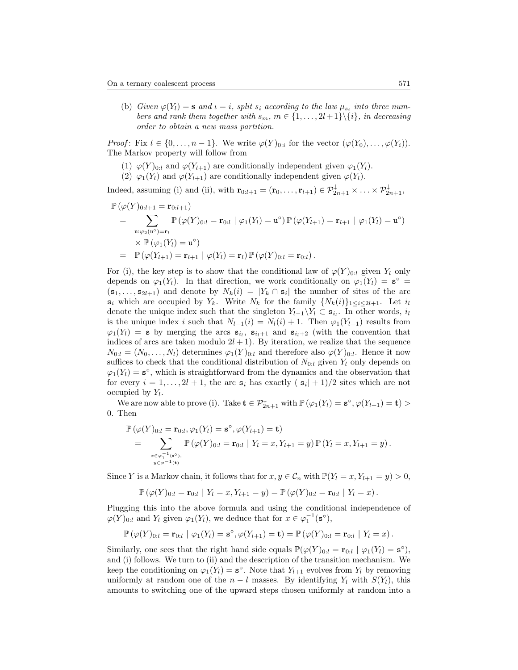(b) *Given*  $\varphi(Y_l) = \mathbf{s}$  *and*  $\iota = i$ , *split*  $s_i$  *according to the law*  $\mu_{s_i}$  *into three numbers and rank them together with*  $s_m$ ,  $m \in \{1, \ldots, 2l+1\} \setminus \{i\}$ , in decreasing *order to obtain a new mass partition.*

*Proof*: Fix  $l \in \{0, \ldots, n-1\}$ . We write  $\varphi(Y)_{0:i}$  for the vector  $(\varphi(Y_0), \ldots, \varphi(Y_i))$ . The Markov property will follow from

- (1)  $\varphi(Y)_{0:l}$  and  $\varphi(Y_{l+1})$  are conditionally independent given  $\varphi_1(Y_l)$ .
- (2)  $\varphi_1(Y_l)$  and  $\varphi(Y_{l+1})$  are conditionally independent given  $\varphi(Y_l)$ .

Indeed, assuming (i) and (ii), with  $\mathbf{r}_{0:l+1} = (\mathbf{r}_0, \ldots, \mathbf{r}_{l+1}) \in \mathcal{P}_{2n+1}^{\downarrow} \times \ldots \times \mathcal{P}_{2n+1}^{\downarrow}$ 

$$
\mathbb{P}(\varphi(Y)_{0:l+1} = \mathbf{r}_{0:l+1})
$$
\n
$$
= \sum_{\mathbf{u}:\varphi_2(\mathbf{u}^{\circ}) = \mathbf{r}_l} \mathbb{P}(\varphi(Y)_{0:l} = \mathbf{r}_{0:l} | \varphi_1(Y_l) = \mathbf{u}^{\circ}) \mathbb{P}(\varphi(Y_{l+1}) = \mathbf{r}_{l+1} | \varphi_1(Y_l) = \mathbf{u}^{\circ})
$$
\n
$$
\times \mathbb{P}(\varphi_1(Y_l) = \mathbf{u}^{\circ})
$$
\n
$$
= \mathbb{P}(\varphi(Y_{l+1}) = \mathbf{r}_{l+1} | \varphi(Y_l) = \mathbf{r}_l) \mathbb{P}(\varphi(Y)_{0:l} = \mathbf{r}_{0:l}).
$$

For (i), the key step is to show that the conditional law of  $\varphi(Y)_{0:l}$  given  $Y_l$  only depends on  $\varphi_1(Y_i)$ . In that direction, we work conditionally on  $\varphi_1(Y_i) = \mathbf{s}^\circ =$  $(\mathbf{s}_1, \ldots, \mathbf{s}_{2l+1})$  and denote by  $N_k(i) = |Y_k \cap \mathbf{s}_i|$  the number of sites of the arc  $s_i$  which are occupied by  $Y_k$ . Write  $N_k$  for the family  $\{N_k(i)\}_{1 \le i \le 2l+1}$ . Let  $i_l$ denote the unique index such that the singleton  $Y_{l-1}\ Y_l \subset s_{i_l}$ . In other words,  $i_l$ is the unique index *i* such that  $N_{l-1}(i) = N_l(i) + 1$ . Then  $\varphi_1(Y_{l-1})$  results from  $\varphi_1(Y_l) = \mathbf{s}$  by merging the arcs  $\mathbf{s}_{i_l}, \mathbf{s}_{i_l+1}$  and  $\mathbf{s}_{i_l+2}$  (with the convention that indices of arcs are taken modulo  $2l + 1$ ). By iteration, we realize that the sequence  $N_{0:l} = (N_0, \ldots, N_l)$  determines  $\varphi_1(Y)_{0:l}$  and therefore also  $\varphi(Y)_{0:l}$ . Hence it now suffices to check that the conditional distribution of  $N_{0:l}$  given  $Y_l$  only depends on  $\varphi_1(Y_l) = \mathbf{s}^\circ$ , which is straightforward from the dynamics and the observation that for every  $i = 1, \ldots, 2l + 1$ , the arc  $s_i$  has exactly  $(|s_i| + 1)/2$  sites which are not occupied by *Y<sup>l</sup>* .

We are now able to prove (i). Take  $\mathbf{t} \in \mathcal{P}_{2n+1}^{\downarrow}$  with  $\mathbb{P}(\varphi_1(Y_l) = \mathbf{s}^{\circ}, \varphi(Y_{l+1}) = \mathbf{t}) >$ 0. Then

$$
\mathbb{P}(\varphi(Y)_{0:l} = \mathbf{r}_{0:l}, \varphi_1(Y_l) = \mathbf{s}^{\circ}, \varphi(Y_{l+1}) = \mathbf{t}) \n= \sum_{\substack{x \in \varphi_1^{-1}(\mathbf{s}^{\circ}), \\ y \in \varphi^{-1}(\mathbf{t})}} \mathbb{P}(\varphi(Y)_{0:l} = \mathbf{r}_{0:l} \mid Y_l = x, Y_{l+1} = y) \mathbb{P}(Y_l = x, Y_{l+1} = y).
$$

Since *Y* is a Markov chain, it follows that for  $x, y \in C_n$  with  $\mathbb{P}(Y_l = x, Y_{l+1} = y) > 0$ ,

$$
\mathbb{P}(\varphi(Y)_{0:l} = \mathbf{r}_{0:l} | Y_l = x, Y_{l+1} = y) = \mathbb{P}(\varphi(Y)_{0:l} = \mathbf{r}_{0:l} | Y_l = x).
$$

Plugging this into the above formula and using the conditional independence of  $\varphi(Y)_{0:l}$  and  $Y_l$  given  $\varphi_1(Y_l)$ , we deduce that for  $x \in \varphi_1^{-1}(\mathbf{s}^{\circ}),$ 

$$
\mathbb{P}(\varphi(Y)_{0:l} = \mathbf{r}_{0:l} | \varphi_1(Y_l) = \mathbf{s}^{\circ}, \varphi(Y_{l+1}) = \mathbf{t}) = \mathbb{P}(\varphi(Y)_{0:l} = \mathbf{r}_{0:l} | Y_l = x).
$$

Similarly, one sees that the right hand side equals  $\mathbb{P}(\varphi(Y)_{0:l} = \mathbf{r}_{0:l} | \varphi_1(Y_l) = \mathbf{s}^{\circ}),$ and (i) follows. We turn to (ii) and the description of the transition mechanism. We keep the conditioning on  $\varphi_1(Y_l) = \mathbf{s}^\circ$ . Note that  $Y_{l+1}$  evolves from  $Y_l$  by removing uniformly at random one of the  $n - l$  masses. By identifying  $Y_l$  with  $S(Y_l)$ , this amounts to switching one of the upward steps chosen uniformly at random into a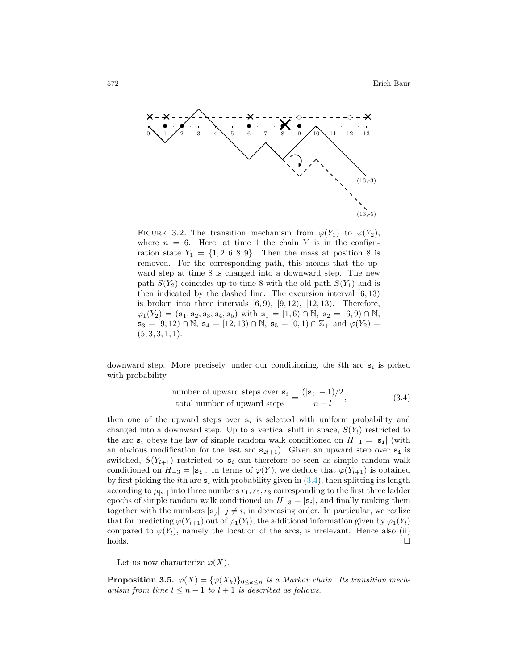

FIGURE 3.2. The transition mechanism from  $\varphi(Y_1)$  to  $\varphi(Y_2)$ , where  $n = 6$ . Here, at time 1 the chain *Y* is in the configuration state  $Y_1 = \{1, 2, 6, 8, 9\}$ . Then the mass at position 8 is removed. For the corresponding path, this means that the upward step at time 8 is changed into a downward step. The new path  $S(Y_2)$  coincides up to time 8 with the old path  $S(Y_1)$  and is then indicated by the dashed line. The excursion interval [6*,* 13) is broken into three intervals  $[6, 9)$ ,  $[9, 12)$ ,  $[12, 13)$ . Therefore,  $\varphi_1(Y_2) = (\mathbf{s}_1, \mathbf{s}_2, \mathbf{s}_3, \mathbf{s}_4, \mathbf{s}_5)$  with  $\mathbf{s}_1 = [1, 6) \cap \mathbb{N}, \mathbf{s}_2 = [6, 9) \cap \mathbb{N},$  $\mathbf{s}_3 = [9, 12) \cap \mathbb{N}, \ \mathbf{s}_4 = [12, 13) \cap \mathbb{N}, \ \mathbf{s}_5 = [0, 1) \cap \mathbb{Z}_+ \text{ and } \varphi(Y_2) =$  $(5, 3, 3, 1, 1).$ 

downward step. More precisely, under our conditioning, the *i*th arc s*<sup>i</sup>* is picked with probability

<span id="page-11-1"></span>number of upward steps over 
$$
\mathbf{s}_i
$$
 =  $\frac{(|\mathbf{s}_i| - 1)/2}{n - l}$ , (3.4)

then one of the upward steps over  $s_i$  is selected with uniform probability and changed into a downward step. Up to a vertical shift in space,  $S(Y_l)$  restricted to the arc  $s_i$  obeys the law of simple random walk conditioned on  $H_{-1} = |s_i|$  (with an obvious modification for the last arc  $s_{2l+1}$ ). Given an upward step over  $s_i$  is switched,  $S(Y_{l+1})$  restricted to  $s_i$  can therefore be seen as simple random walk conditioned on  $H_{-3} = |\mathbf{s}_i|$ . In terms of  $\varphi(Y)$ , we deduce that  $\varphi(Y_{l+1})$  is obtained byfirst picking the *i*th arc  $s_i$  with probability given in  $(3.4)$  $(3.4)$ , then splitting its length according to  $\mu_{|\mathbf{s}_1|}$  into three numbers  $r_1, r_2, r_3$  corresponding to the first three ladder epochs of simple random walk conditioned on *H−*<sup>3</sup> = *|*s*<sup>i</sup> |*, and finally ranking them together with the numbers  $|\mathbf{s}_i|, j \neq i$ , in decreasing order. In particular, we realize that for predicting  $\varphi(Y_{l+1})$  out of  $\varphi_1(Y_l)$ , the additional information given by  $\varphi_1(Y_l)$ compared to  $\varphi(Y_l)$ , namely the location of the arcs, is irrelevant. Hence also (ii)  $\Box$ holds.

Let us now characterize  $\varphi(X)$ .

<span id="page-11-0"></span>**Proposition 3.5.**  $\varphi(X) = {\varphi(X_k)}_{0 \leq k \leq n}$  *is a Markov chain. Its transition mechanism from time*  $l \leq n-1$  *to*  $l+1$  *is described as follows.*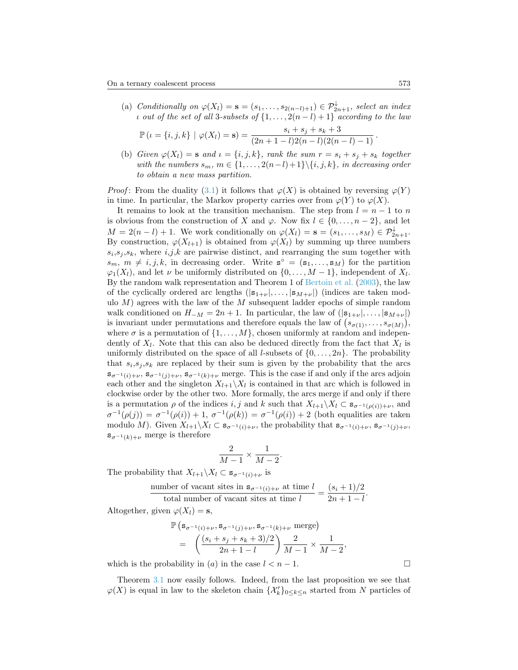(a) *Conditionally on*  $\varphi(X_l) = \mathbf{s} = (s_1, \ldots, s_{2(n-l)+1}) \in \mathcal{P}_{2n+1}^{\downarrow}$ , select an index *ι out of the set of all* 3*-subsets of*  $\{1, \ldots, 2(n-l)+1\}$  *according to the law* 

$$
\mathbb{P}\left(\iota = \{i, j, k\} \mid \varphi(X_l) = \mathbf{s}\right) = \frac{s_i + s_j + s_k + 3}{(2n + 1 - l)2(n - l)(2(n - l) - 1)}.
$$

(b) *Given*  $\varphi(X_l) = \mathbf{s}$  *and*  $\iota = \{i, j, k\}$ *, rank the sum*  $r = s_i + s_j + s_k$  *together with the numbers*  $s_m$ ,  $m \in \{1, \ldots, 2(n-l)+1\} \setminus \{i, j, k\}$ , in decreasing order *to obtain a new mass partition.*

*Proof*:From the duality ([3.1\)](#page-8-2) it follows that  $\varphi(X)$  is obtained by reversing  $\varphi(Y)$ in time. In particular, the Markov property carries over from  $\varphi(Y)$  to  $\varphi(X)$ .

It remains to look at the transition mechanism. The step from  $l = n - 1$  to *n* is obvious from the construction of *X* and  $\varphi$ . Now fix  $l \in \{0, \ldots, n-2\}$ , and let  $M = 2(n - l) + 1$ . We work conditionally on  $\varphi(X_l) = \mathbf{s} = (s_1, \dots, s_M) \in \mathcal{P}_{2n+1}^{\downarrow}$ . By construction,  $\varphi(X_{l+1})$  is obtained from  $\varphi(X_l)$  by summing up three numbers  $s_i$ , $s_j$ , $s_k$ , where  $i, j, k$  are pairwise distinct, and rearranging the sum together with  $s_m$ ,  $m \neq i, j, k$ , in decreasing order. Write  $s^{\circ} = (\mathbf{s}_1, \dots, \mathbf{s}_M)$  for the partition  $\varphi_1(X_l)$ , and let *v* be uniformly distributed on  $\{0, \ldots, M-1\}$ , independent of  $X_l$ . By the random walk representation and Theorem 1 of [Bertoin et al.](#page-28-5) ([2003](#page-28-5)), the law of the cyclically ordered arc lengths  $(|s_{1+\nu}|, \ldots, |s_{M+\nu}|)$  (indices are taken modulo *M*) agrees with the law of the *M* subsequent ladder epochs of simple random walk conditioned on  $H_{-M} = 2n + 1$ . In particular, the law of  $(|s_{1+\nu}|, \ldots, |s_{M+\nu}|)$ is invariant under permutations and therefore equals the law of  $(s_{\sigma(1)}, \ldots, s_{\sigma(M)})$ , where  $\sigma$  is a permutation of  $\{1, \ldots, M\}$ , chosen uniformly at random and independently of  $X_l$ . Note that this can also be deduced directly from the fact that  $X_l$  is uniformly distributed on the space of all *l*-subsets of  $\{0, \ldots, 2n\}$ . The probability that  $s_i, s_j, s_k$  are replaced by their sum is given by the probability that the arcs  $s_{\sigma^{-1}(i)+\nu}$ ,  $s_{\sigma^{-1}(j)+\nu}$ ,  $s_{\sigma^{-1}(k)+\nu}$  merge. This is the case if and only if the arcs adjoin each other and the singleton  $X_{l+1} \backslash X_l$  is contained in that arc which is followed in clockwise order by the other two. More formally, the arcs merge if and only if there is a permutation  $\rho$  of the indices *i, j* and *k* such that  $X_{l+1} \setminus X_l \subset s_{\sigma^{-1}(\rho(i))+\nu}$ , and  $\sigma^{-1}(\rho(j)) = \sigma^{-1}(\rho(i)) + 1$ ,  $\sigma^{-1}(\rho(k)) = \sigma^{-1}(\rho(i)) + 2$  (both equalities are taken modulo *M*). Given  $X_{l+1}\backslash X_l \subset \mathbf{s}_{\sigma^{-1}(i)+\nu}$ , the probability that  $\mathbf{s}_{\sigma^{-1}(i)+\nu}$ ,  $\mathbf{s}_{\sigma^{-1}(i)+\nu}$ ,  $s_{\sigma^{-1}(k)+\nu}$  merge is therefore

$$
\frac{2}{M-1} \times \frac{1}{M-2}.
$$

The probability that  $X_{l+1} \backslash X_l \subset s_{\sigma^{-1}(i)+\nu}$  is

number of vacant sites in 
$$
\mathbf{s}_{\sigma^{-1}(i)+\nu}
$$
 at time  $l = \frac{(s_i+1)/2}{2n+1-l}$ .  
total number of vacant sites at time  $l = \frac{2n+1-l}{2}$ .

Altogether, given  $\varphi(X_l) = s$ ,

$$
\mathbb{P}\left(\mathbf{s}_{\sigma^{-1}(i)+\nu}, \mathbf{s}_{\sigma^{-1}(j)+\nu}, \mathbf{s}_{\sigma^{-1}(k)+\nu} \text{ merge}\right) \n= \left(\frac{(s_i + s_j + s_k + 3)/2}{2n + 1 - l}\right) \frac{2}{M - 1} \times \frac{1}{M - 2},
$$

which is the probability in  $(a)$  in the case  $l < n-1$ .

Theorem [3.1](#page-6-1) now easily follows. Indeed, from the last proposition we see that  $\varphi(X)$  is equal in law to the skeleton chain  $\{\mathcal{X}'_k\}_{0 \leq k \leq n}$  started from *N* particles of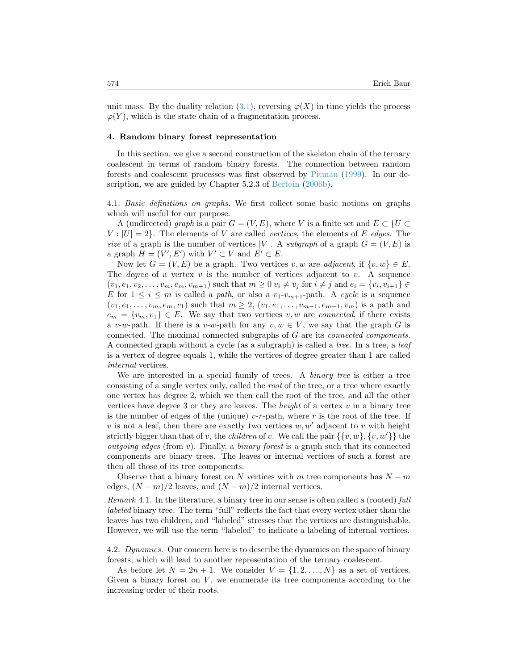unitmass. By the duality relation  $(3.1)$  $(3.1)$ , reversing  $\varphi(X)$  in time yields the process  $\varphi(Y)$ , which is the state chain of a fragmentation process.

## <span id="page-13-0"></span>**4. Random binary forest representation**

In this section, we give a second construction of the skeleton chain of the ternary coalescent in terms of random binary forests. The connection between random forests and coalescent processes was first observed by [Pitman](#page-28-3) [\(1999](#page-28-3)). In our de-scription, we are guided by Chapter 5.2.3 of [Bertoin](#page-28-6) [\(2006b\)](#page-28-6).

4.1. *Basic definitions on graphs.* We first collect some basic notions on graphs which will useful for our purpose.

A (undirected) *graph* is a pair  $G = (V, E)$ , where *V* is a finite set and  $E \subset \{U \subset$  $V: |U| = 2$ . The elements of *V* are called *vertices*, the elements of *E edges*. The *size* of a graph is the number of vertices  $|V|$ . A *subgraph* of a graph  $G = (V, E)$  is a graph  $H = (V', E')$  with  $V' \subset V$  and  $E' \subset E$ .

Now let  $G = (V, E)$  be a graph. Two vertices  $v, w$  are *adjacent*, if  $\{v, w\} \in E$ . The *degree* of a vertex  $v$  is the number of vertices adjacent to  $v$ . A sequence  $(v_1, e_1, v_2, \ldots, v_m, e_m, v_{m+1})$  such that  $m \ge 0$   $v_i \ne v_j$  for  $i \ne j$  and  $e_i = \{v_i, v_{i+1}\} \in$ *E* for  $1 \leq i \leq m$  is called a *path*, or also a  $v_1$ - $v_{m+1}$ -path. A *cycle* is a sequence  $(v_1, e_1, \ldots, v_m, e_m, v_1)$  such that  $m \geq 2$ ,  $(v_1, e_1, \ldots, v_{m-1}, e_{m-1}, v_m)$  is a path and  $e_m = \{v_m, v_1\} \in E$ . We say that two vertices  $v, w$  are *connected*, if there exists a *v*-*w*-path. If there is a *v*-*w*-path for any  $v, w \in V$ , we say that the graph G is connected. The maximal connected subgraphs of *G* are its *connected components*. A connected graph without a cycle (as a subgraph) is called a *tree*. In a tree, a *leaf* is a vertex of degree equals 1, while the vertices of degree greater than 1 are called *internal* vertices.

We are interested in a special family of trees. A *binary tree* is either a tree consisting of a single vertex only, called the *root* of the tree, or a tree where exactly one vertex has degree 2, which we then call the root of the tree, and all the other vertices have degree 3 or they are leaves. The *height* of a vertex *v* in a binary tree is the number of edges of the (unique)  $v-r$ -path, where  $r$  is the root of the tree. If *v* is not a leaf, then there are exactly two vertices  $w, w'$  adjacent to *v* with height strictly bigger than that of *v*, the *children* of *v*. We call the pair  $\{v, w\}, \{v, w'\}$  the *outgoing edges* (from *v*). Finally, a *binary forest* is a graph such that its connected components are binary trees. The leaves or internal vertices of such a forest are then all those of its tree components.

Observe that a binary forest on *N* vertices with *m* tree components has  $N - m$ edges,  $(N + m)/2$  leaves, and  $(N - m)/2$  internal vertices.

*Remark* 4.1*.* In the literature, a binary tree in our sense is often called a (rooted) *full labeled* binary tree. The term "full" reflects the fact that every vertex other than the leaves has two children, and "labeled" stresses that the vertices are distinguishable. However, we will use the term "labeled" to indicate a labeling of internal vertices.

4.2. *Dynamics.* Our concern here is to describe the dynamics on the space of binary forests, which will lead to another representation of the ternary coalescent.

As before let  $N = 2n + 1$ . We consider  $V = \{1, 2, ..., N\}$  as a set of vertices. Given a binary forest on *V*, we enumerate its tree components according to the increasing order of their roots.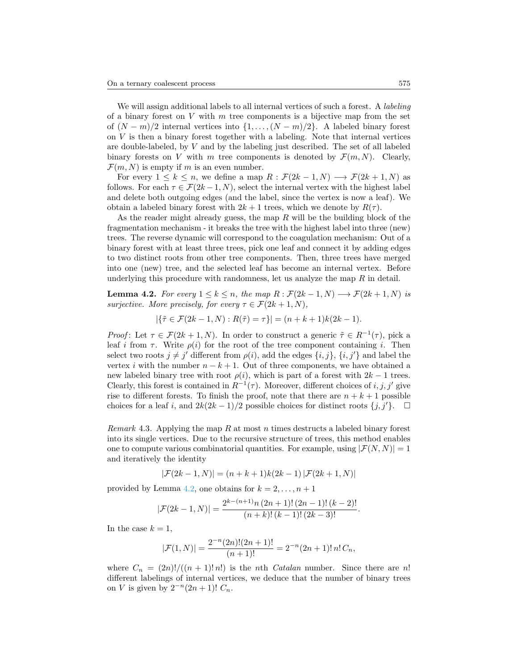We will assign additional labels to all internal vertices of such a forest. A *labeling* of a binary forest on *V* with *m* tree components is a bijective map from the set of (*N − m*)*/*2 internal vertices into *{*1*, . . . ,*(*N − m*)*/*2*}*. A labeled binary forest on *V* is then a binary forest together with a labeling. Note that internal vertices are double-labeled, by *V* and by the labeling just described. The set of all labeled binary forests on *V* with *m* tree components is denoted by  $\mathcal{F}(m, N)$ . Clearly,  $\mathcal{F}(m, N)$  is empty if *m* is an even number.

For every  $1 \leq k \leq n$ , we define a map  $R : \mathcal{F}(2k-1,N) \longrightarrow \mathcal{F}(2k+1,N)$  as follows. For each  $\tau \in \mathcal{F}(2k-1, N)$ , select the internal vertex with the highest label and delete both outgoing edges (and the label, since the vertex is now a leaf). We obtain a labeled binary forest with  $2k + 1$  trees, which we denote by  $R(\tau)$ .

As the reader might already guess, the map *R* will be the building block of the fragmentation mechanism - it breaks the tree with the highest label into three (new) trees. The reverse dynamic will correspond to the coagulation mechanism: Out of a binary forest with at least three trees, pick one leaf and connect it by adding edges to two distinct roots from other tree components. Then, three trees have merged into one (new) tree, and the selected leaf has become an internal vertex. Before underlying this procedure with randomness, let us analyze the map *R* in detail.

<span id="page-14-0"></span>**Lemma 4.2.** For every  $1 \leq k \leq n$ , the map  $R : \mathcal{F}(2k-1,N) \longrightarrow \mathcal{F}(2k+1,N)$  is *surjective. More precisely, for every*  $\tau \in \mathcal{F}(2k+1, N)$ *,* 

 $|{\{\tilde{\tau}\in \mathcal{F}(2k-1,N): R(\tilde{\tau}) = \tau\}|} = (n+k+1)k(2k-1).$ 

*Proof*: Let  $\tau \in \mathcal{F}(2k+1,N)$ . In order to construct a generic  $\tilde{\tau} \in R^{-1}(\tau)$ , pick a leaf *i* from  $\tau$ . Write  $\rho(i)$  for the root of the tree component containing *i*. Then select two roots  $j \neq j'$  different from  $\rho(i)$ , add the edges  $\{i, j\}$ ,  $\{i, j'\}$  and label the vertex *i* with the number  $n - k + 1$ . Out of three components, we have obtained a new labeled binary tree with root  $\rho(i)$ , which is part of a forest with  $2k - 1$  trees. Clearly, this forest is contained in  $R^{-1}(\tau)$ . Moreover, different choices of *i, j, j'* give rise to different forests. To finish the proof, note that there are  $n + k + 1$  possible choices for a leaf *i*, and  $2k(2k-1)/2$  possible choices for distinct roots  $\{j, j'\}$ .

<span id="page-14-1"></span>*Remark* 4.3*.* Applying the map *R* at most *n* times destructs a labeled binary forest into its single vertices. Due to the recursive structure of trees, this method enables one to compute various combinatorial quantities. For example, using  $|F(N, N)| = 1$ and iteratively the identity

$$
|\mathcal{F}(2k-1,N)| = (n+k+1)k(2k-1)|\mathcal{F}(2k+1,N)|
$$

provided by Lemma [4.2,](#page-14-0) one obtains for  $k = 2, \ldots, n + 1$ 

$$
|\mathcal{F}(2k-1,N)| = \frac{2^{k-(n+1)}n(2n+1)!(2n-1)!(k-2)!}{(n+k)!(k-1)!(2k-3)!}.
$$

In the case  $k = 1$ ,

$$
|\mathcal{F}(1,N)| = \frac{2^{-n}(2n)!(2n+1)!}{(n+1)!} = 2^{-n}(2n+1)!\,n!\,C_n,
$$

where  $C_n = (2n)!/((n+1)!n!)$  is the *n*th *Catalan* number. Since there are *n*! different labelings of internal vertices, we deduce that the number of binary trees on *V* is given by  $2^{-n}(2n+1)!$   $C_n$ .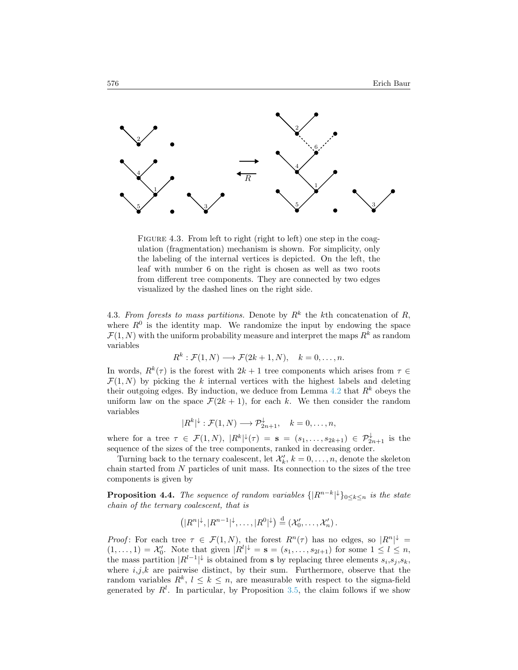

FIGURE 4.3. From left to right (right to left) one step in the coagulation (fragmentation) mechanism is shown. For simplicity, only the labeling of the internal vertices is depicted. On the left, the leaf with number 6 on the right is chosen as well as two roots from different tree components. They are connected by two edges visualized by the dashed lines on the right side.

4.3. *From forests to mass partitions.* Denote by  $R^k$  the *k*th concatenation of  $R$ , where  $R^0$  is the identity map. We randomize the input by endowing the space  $\mathcal{F}(1,N)$  with the uniform probability measure and interpret the maps  $R^k$  as random variables

$$
R^k : \mathcal{F}(1, N) \longrightarrow \mathcal{F}(2k+1, N), \quad k = 0, \dots, n.
$$

In words,  $R^k(\tau)$  is the forest with  $2k+1$  tree components which arises from  $\tau \in$  $F(1, N)$  by picking the *k* internal vertices with the highest labels and deleting their outgoing edges. By induction, we deduce from Lemma  $4.2$  that  $R^k$  obeys the uniform law on the space  $\mathcal{F}(2k + 1)$ , for each k. We then consider the random variables

$$
|R^k|^{\downarrow} : \mathcal{F}(1,N) \longrightarrow \mathcal{P}_{2n+1}^{\downarrow}, \quad k = 0,\ldots,n,
$$

where for a tree  $\tau \in \mathcal{F}(1,N)$ ,  $|R^k|^{\downarrow}(\tau) = s = (s_1, \ldots, s_{2k+1}) \in \mathcal{P}_{2n+1}^{\downarrow}$  is the sequence of the sizes of the tree components, ranked in decreasing order.

Turning back to the ternary coalescent, let  $\mathcal{X}'_k$ ,  $k = 0, \ldots, n$ , denote the skeleton chain started from *N* particles of unit mass. Its connection to the sizes of the tree components is given by

<span id="page-15-0"></span>**Proposition 4.4.** *The sequence of random variables*  $\{|R^{n-k}|^{\downarrow}\}_{0 \leq k \leq n}$  *is the state chain of the ternary coalescent, that is*

$$
(|R^n|^{\downarrow}, |R^{n-1}|^{\downarrow}, \ldots, |R^0|^{\downarrow}) \stackrel{\mathrm{d}}{=} (\mathcal{X}'_0, \ldots, \mathcal{X}'_n).
$$

*Proof*: For each tree  $\tau \in \mathcal{F}(1,N)$ , the forest  $R^n(\tau)$  has no edges, so  $|R^n|^{\downarrow} =$  $(1, \ldots, 1) = \mathcal{X}'_0$ . Note that given  $|R^l|^{\downarrow} = \mathbf{s} = (s_1, \ldots, s_{2l+1})$  for some  $1 \leq l \leq n$ , the mass partition  $|R^{l-1}|$ <sup> $\downarrow$ </sup> is obtained from **s** by replacing three elements  $s_i$ ,  $s_j$ ,  $s_k$ , where *i*,*j*,*k* are pairwise distinct, by their sum. Furthermore, observe that the random variables  $R^k$ ,  $l \leq k \leq n$ , are measurable with respect to the sigma-field generated by  $R^l$ . In particular, by Proposition [3.5,](#page-11-0) the claim follows if we show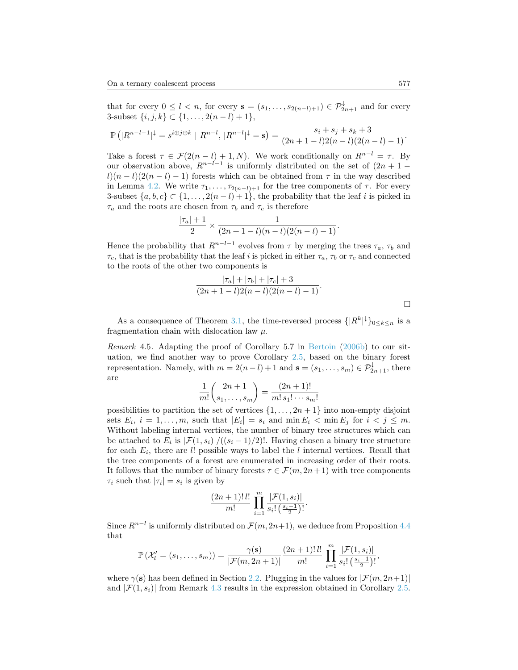that for every  $0 \leq l < n$ , for every  $\mathbf{s} = (s_1, \ldots, s_{2(n-l)+1}) \in \mathcal{P}_{2n+1}^{\downarrow}$  and for every 3-subset *{i, j, k} ⊂ {*1*, . . . ,* 2(*n − l*) + 1*}*,

$$
\mathbb{P}\left(|R^{n-l-1}|^{\downarrow} = s^{i \oplus j \oplus k} \mid R^{n-l}, |R^{n-l}|^{\downarrow} = \mathbf{s}\right) = \frac{s_i + s_j + s_k + 3}{(2n+1-l)2(n-l)(2(n-l)-1)}.
$$

Take a forest  $\tau \in \mathcal{F}(2(n-l)+1,N)$ . We work conditionally on  $R^{n-l} = \tau$ . By our observation above,  $R^{n-l-1}$  is uniformly distributed on the set of  $(2n + 1$  $l(n - l)(2(n - l) - 1)$  forests which can be obtained from  $\tau$  in the way described in Lemma [4.2](#page-14-0). We write  $\tau_1, \ldots, \tau_{2(n-l)+1}$  for the tree components of  $\tau$ . For every 3-subset  $\{a, b, c\} \subset \{1, \ldots, 2(n-l)+1\}$ , the probability that the leaf *i* is picked in *τ*<sup>*a*</sup> and the roots are chosen from *τ*<sup>*b*</sup> and *τ*<sup>*c*</sup> is therefore

$$
\frac{|\tau_a|+1}{2} \times \frac{1}{(2n+1-l)(n-l)(2(n-l)-1)}.
$$

Hence the probability that  $R^{n-l-1}$  evolves from  $\tau$  by merging the trees  $\tau_a$ ,  $\tau_b$  and *τc*, that is the probability that the leaf *i* is picked in either *τa*, *τ<sup>b</sup>* or *τ<sup>c</sup>* and connected to the roots of the other two components is

$$
\frac{|\tau_a| + |\tau_b| + |\tau_c| + 3}{(2n + 1 - l)2(n - l)(2(n - l) - 1)}.
$$

As a consequence of Theorem [3.1](#page-6-1), the time-reversed process  $\{|R^k|^\downarrow\}_{0 \leq k \leq n}$  is a fragmentation chain with dislocation law *µ*.

*Remark* 4.5*.* Adapting the proof of Corollary 5.7 in [Bertoin](#page-28-6) ([2006b](#page-28-6)) to our situation, we find another way to prove Corollary [2.5](#page-4-0), based on the binary forest representation. Namely, with  $m = 2(n - l) + 1$  and  $\mathbf{s} = (s_1, \ldots, s_m) \in \mathcal{P}_{2n+1}^{\downarrow}$ , there are

$$
\frac{1}{m!} \binom{2n+1}{s_1, \dots, s_m} = \frac{(2n+1)!}{m! \, s_1! \cdots s_m!}
$$

possibilities to partition the set of vertices  $\{1, \ldots, 2n+1\}$  into non-empty disjoint sets  $E_i$ ,  $i = 1, \ldots, m$ , such that  $|E_i| = s_i$  and  $\min E_i < \min E_j$  for  $i < j \le m$ . Without labeling internal vertices, the number of binary tree structures which can be attached to  $E_i$  is  $|\mathcal{F}(1,s_i)|/((s_i-1)/2)!$ . Having chosen a binary tree structure for each *E<sup>i</sup>* , there are *l*! possible ways to label the *l* internal vertices. Recall that the tree components of a forest are enumerated in increasing order of their roots. It follows that the number of binary forests  $\tau \in \mathcal{F}(m, 2n+1)$  with tree components  $\tau_i$  such that  $|\tau_i| = s_i$  is given by

$$
\frac{(2n+1)! \, l!}{m!} \prod_{i=1}^m \frac{|\mathcal{F}(1, s_i)|}{s_i! \left(\frac{s_i-1}{2}\right)!}.
$$

Since  $R^{n-l}$  is uniformly distributed on  $\mathcal{F}(m, 2n+1)$ , we deduce from Proposition [4.4](#page-15-0) that

$$
\mathbb{P}(\mathcal{X}'_l = (s_1, \ldots, s_m)) = \frac{\gamma(\mathbf{s})}{|\mathcal{F}(m, 2n+1)|} \frac{(2n+1)! \, l!}{m!} \prod_{i=1}^m \frac{|\mathcal{F}(1, s_i)|}{s_i! \left(\frac{s_i-1}{2}\right)!},
$$

where  $\gamma(s)$  has been defined in Section [2.2.](#page-4-1) Plugging in the values for  $|\mathcal{F}(m, 2n+1)|$ and  $|\mathcal{F}(1,s_i)|$  from Remark [4.3](#page-14-1) results in the expression obtained in Corollary [2.5.](#page-4-0)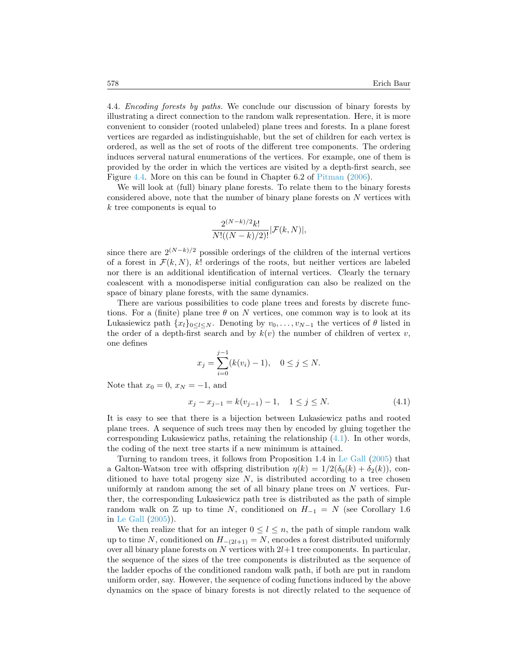4.4. *Encoding forests by paths.* We conclude our discussion of binary forests by illustrating a direct connection to the random walk representation. Here, it is more convenient to consider (rooted unlabeled) plane trees and forests. In a plane forest vertices are regarded as indistinguishable, but the set of children for each vertex is ordered, as well as the set of roots of the different tree components. The ordering induces serveral natural enumerations of the vertices. For example, one of them is provided by the order in which the vertices are visited by a depth-first search, see Figure [4.4.](#page-18-0) More on this can be found in Chapter 6.2 of [Pitman](#page-28-1) [\(2006\)](#page-28-1).

We will look at (full) binary plane forests. To relate them to the binary forests considered above, note that the number of binary plane forests on *N* vertices with *k* tree components is equal to

$$
\frac{2^{(N-k)/2}k!}{N!((N-k)/2)!}|\mathcal{F}(k,N)|,
$$

since there are 2(*N−k*)*/*<sup>2</sup> possible orderings of the children of the internal vertices of a forest in  $\mathcal{F}(k, N)$ , k! orderings of the roots, but neither vertices are labeled nor there is an additional identification of internal vertices. Clearly the ternary coalescent with a monodisperse initial configuration can also be realized on the space of binary plane forests, with the same dynamics.

There are various possibilities to code plane trees and forests by discrete functions. For a (finite) plane tree  $\theta$  on  $N$  vertices, one common way is to look at its Lukasiewicz path  $\{x_l\}_{0 \leq l \leq N}$ . Denoting by  $v_0, \ldots, v_{N-1}$  the vertices of  $\theta$  listed in the order of a depth-first search and by  $k(v)$  the number of children of vertex  $v$ , one defines

$$
x_j = \sum_{i=0}^{j-1} (k(v_i) - 1), \quad 0 \le j \le N.
$$

Note that  $x_0 = 0$ ,  $x_N = -1$ , and

<span id="page-17-0"></span>
$$
x_j - x_{j-1} = k(v_{j-1}) - 1, \quad 1 \le j \le N. \tag{4.1}
$$

It is easy to see that there is a bijection between Lukasiewicz paths and rooted plane trees. A sequence of such trees may then by encoded by gluing together the correspondingLukasiewicz paths, retaining the relationship  $(4.1)$  $(4.1)$ . In other words, the coding of the next tree starts if a new minimum is attained.

Turning to random trees, it follows from Proposition 1.4 in [Le Gall](#page-28-7) ([2005\)](#page-28-7) that a Galton-Watson tree with offspring distribution  $\eta(k) = 1/2(\delta_0(k) + \delta_2(k))$ , conditioned to have total progeny size *N*, is distributed according to a tree chosen uniformly at random among the set of all binary plane trees on *N* vertices. Further, the corresponding Lukasiewicz path tree is distributed as the path of simple random walk on  $\mathbb{Z}$  up to time *N*, conditioned on  $H_{-1} = N$  (see Corollary 1.6) in [Le Gall](#page-28-7) ([2005\)](#page-28-7)).

We then realize that for an integer  $0 \leq l \leq n$ , the path of simple random walk up to time *N*, conditioned on  $H$ <sub>−(2*l*+1)</sub> = *N*, encodes a forest distributed uniformly over all binary plane forests on *N* vertices with 2*l*+1 tree components. In particular, the sequence of the sizes of the tree components is distributed as the sequence of the ladder epochs of the conditioned random walk path, if both are put in random uniform order, say. However, the sequence of coding functions induced by the above dynamics on the space of binary forests is not directly related to the sequence of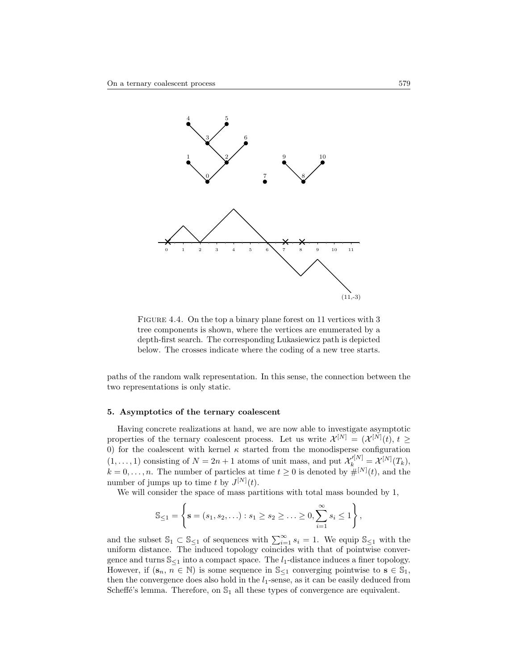

<span id="page-18-0"></span>FIGURE 4.4. On the top a binary plane forest on 11 vertices with 3 tree components is shown, where the vertices are enumerated by a depth-first search. The corresponding Lukasiewicz path is depicted below. The crosses indicate where the coding of a new tree starts.

paths of the random walk representation. In this sense, the connection between the two representations is only static.

#### **5. Asymptotics of the ternary coalescent**

Having concrete realizations at hand, we are now able to investigate asymptotic properties of the ternary coalescent process. Let us write  $\mathcal{X}^{[N]} = (\mathcal{X}^{[N]}(t), t \geq 0)$ 0) for the coalescent with kernel  $\kappa$  started from the monodisperse configuration  $(1, \ldots, 1)$  consisting of  $N = 2n + 1$  atoms of unit mass, and put  $\mathcal{X}'^{[N]}_k = \mathcal{X}^{[N]}(T_k)$ ,  $k = 0, \ldots, n$ . The number of particles at time  $t \geq 0$  is denoted by  $\#^{[N]}(t)$ , and the number of jumps up to time *t* by  $J^{[N]}(t)$ .

We will consider the space of mass partitions with total mass bounded by 1,

$$
\mathbb{S}_{\leq 1} = \left\{ \mathbf{s} = (s_1, s_2, \ldots) : s_1 \geq s_2 \geq \ldots \geq 0, \sum_{i=1}^{\infty} s_i \leq 1 \right\},\
$$

and the subset  $\mathbb{S}_1 \subset \mathbb{S}_{\leq 1}$  of sequences with  $\sum_{i=1}^{\infty} s_i = 1$ . We equip  $\mathbb{S}_{\leq 1}$  with the uniform distance. The induced topology coincides with that of pointwise convergence and turns  $\mathcal{S}_{\leq 1}$  into a compact space. The  $l_1$ -distance induces a finer topology. However, if  $(s_n, n \in \mathbb{N})$  is some sequence in  $\mathbb{S}_{\leq 1}$  converging pointwise to  $s \in \mathbb{S}_1$ , then the convergence does also hold in the  $l_1$ -sense, as it can be easily deduced from Scheffé's lemma. Therefore, on  $\mathbb{S}_1$  all these types of convergence are equivalent.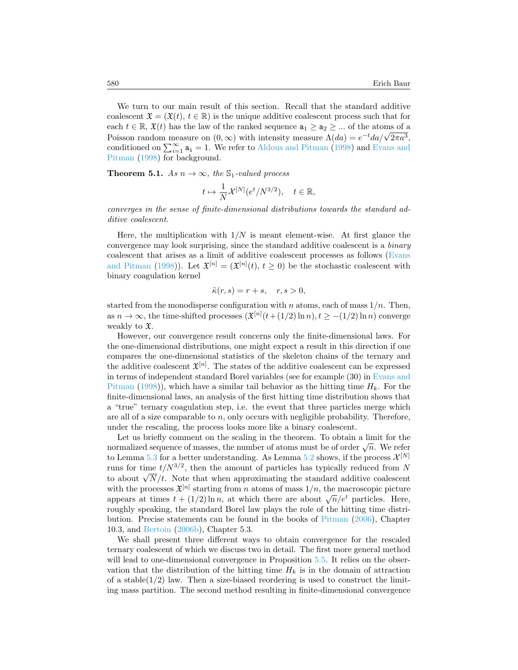We turn to our main result of this section. Recall that the standard additive coalescent  $\mathfrak{X} = (\mathfrak{X}(t), t \in \mathbb{R})$  is the unique additive coalescent process such that for each  $t \in \mathbb{R}$ ,  $\mathfrak{X}(t)$  has the law of the ranked sequence  $a_1 \ge a_2 \ge \dots$  of the atoms of a Poisson random measure on  $(0, \infty)$  with intensity measure  $\Lambda(da) = e^{-t}da/\sqrt{2\pi a^3}$ , conditioned on  $\sum_{i=1}^{\infty} a_i = 1$ . We refer to [Aldous and Pitman](#page-27-2) [\(1998](#page-27-2)) and [Evans and](#page-28-2) [Pitman](#page-28-2) [\(1998](#page-28-2)) for background.

<span id="page-19-0"></span>**Theorem 5.1.** *As*  $n \to \infty$ *, the*  $\mathbb{S}_1$ *-valued process* 

$$
t \mapsto \frac{1}{N} \mathcal{X}^{[N]}(e^t/N^{3/2}), \quad t \in \mathbb{R},
$$

*converges in the sense of finite-dimensional distributions towards the standard additive coalescent.*

Here, the multiplication with  $1/N$  is meant element-wise. At first glance the convergence may look surprising, since the standard additive coalescent is a *binary* coalescent that arises as a limit of additive coalescent processes as follows [\(Evans](#page-28-2) [and Pitman](#page-28-2) [\(1998](#page-28-2))). Let  $\mathfrak{X}^{[n]} = (\mathfrak{X}^{[n]}(t), t \geq 0)$  be the stochastic coalescent with binary coagulation kernel

$$
\tilde{\kappa}(r,s) = r + s, \quad r, s > 0,
$$

started from the monodisperse configuration with *n* atoms, each of mass  $1/n$ . Then, as  $n \to \infty$ , the time-shifted processes  $(\mathfrak{X}^{[n]}(t+(1/2)\ln n), t \ge -(1/2)\ln n)$  converge weakly to  $\mathfrak{X}.$ 

However, our convergence result concerns only the finite-dimensional laws. For the one-dimensional distributions, one might expect a result in this direction if one compares the one-dimensional statistics of the skeleton chains of the ternary and the additive coalescent  $\mathfrak{X}^{[n]}$ . The states of the additive coalescent can be expressed in terms of independent standard Borel variables (see for example (30) in [Evans and](#page-28-2) [Pitman](#page-28-2) ([1998\)](#page-28-2)), which have a similar tail behavior as the hitting time  $H_k$ . For the finite-dimensional laws, an analysis of the first hitting time distribution shows that a "true" ternary coagulation step, i.e. the event that three particles merge which are all of a size comparable to *n*, only occurs with negligible probability. Therefore, under the rescaling, the process looks more like a binary coalescent.

Let us briefly comment on the scaling in the theorem. To obtain a limit for the normalized sequence of masses, the number of atoms must be of order  $\sqrt{n}$ . We refer to Lemma [5.3](#page-21-0) for a better understanding. As Lemma [5.2](#page-20-0) shows, if the process  $\mathcal{X}^{[N]}$ runs for time *t/N*<sup>3</sup>*/*<sup>2</sup> , then the amount of particles has typically reduced from *N* to about  $\sqrt{N}/t$ . Note that when approximating the standard additive coalescent with the processes  $\mathfrak{X}^{[n]}$  starting from *n* atoms of mass  $1/n$ , the macroscopic picture with the processes  $x \rightarrow$  starting from *n* atoms of mass  $1/n$ , the macroscopic picture appears at times  $t + (1/2) \ln n$ , at which there are about  $\sqrt{n}/e^t$  particles. Here, roughly speaking, the standard Borel law plays the role of the hitting time distribution. Precise statements can be found in the books of [Pitman](#page-28-1) [\(2006](#page-28-1)), Chapter 10.3, and [Bertoin](#page-28-6) ([2006b](#page-28-6)), Chapter 5.3.

We shall present three different ways to obtain convergence for the rescaled ternary coalescent of which we discuss two in detail. The first more general method will lead to one-dimensional convergence in Proposition [5.5.](#page-21-1) It relies on the observation that the distribution of the hitting time  $H_k$  is in the domain of attraction of a stable( $1/2$ ) law. Then a size-biased reordering is used to construct the limiting mass partition. The second method resulting in finite-dimensional convergence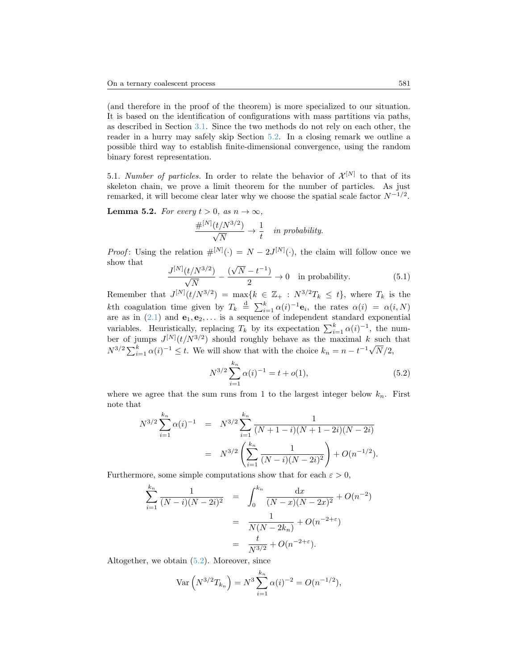(and therefore in the proof of the theorem) is more specialized to our situation. It is based on the identification of configurations with mass partitions via paths, as described in Section [3.1](#page-6-0). Since the two methods do not rely on each other, the reader in a hurry may safely skip Section [5.2](#page-21-2). In a closing remark we outline a possible third way to establish finite-dimensional convergence, using the random binary forest representation.

5.1. *Number of particles*. In order to relate the behavior of  $\mathcal{X}^{[N]}$  to that of its skeleton chain, we prove a limit theorem for the number of particles. As just remarked, it will become clear later why we choose the spatial scale factor  $N^{-1/2}$ .

<span id="page-20-0"></span>**Lemma 5.2.** *For every*  $t > 0$ *, as*  $n \to \infty$ *,* 

$$
\frac{\#^{[N]}(t/N^{3/2})}{\sqrt{N}} \to \frac{1}{t}
$$
 in probability.

*Proof*: Using the relation  $\#^{[N]}(\cdot) = N - 2J^{[N]}(\cdot)$ , the claim will follow once we show that *√*

<span id="page-20-2"></span>
$$
\frac{J^{[N]}(t/N^{3/2})}{\sqrt{N}} - \frac{(\sqrt{N} - t^{-1})}{2} \to 0 \quad \text{in probability.} \tag{5.1}
$$

Remember that  $J^{[N]}(t/N^{3/2}) = \max\{k \in \mathbb{Z}_+ : N^{3/2}T_k \leq t\}$ , where  $T_k$  is the *k*th coagulation time given by  $T_k \triangleq \sum_{i=1}^k \alpha(i)^{-1} \mathbf{e}_i$ , the rates  $\alpha(i) = \alpha(i, N)$ are as in  $(2.1)$  and  $\mathbf{e}_1, \mathbf{e}_2, \ldots$  is a sequence of independent standard exponential variables. Heuristically, replacing  $T_k$  by its expectation  $\sum_{i=1}^k \alpha(i)^{-1}$ , the number of jumps  $J^{[N]}(t/N^{3/2})$  should roughly behave as the maximal *k* such that  $N^{3/2} \sum_{i=1}^{k} \alpha(i)^{-1} \leq t$ . We will show that with the choice  $k_n = n - t^{-1} \sqrt{N/2}$ ,

<span id="page-20-1"></span>
$$
N^{3/2} \sum_{i=1}^{k_n} \alpha(i)^{-1} = t + o(1),
$$
\n(5.2)

where we agree that the sum runs from 1 to the largest integer below  $k_n$ . First note that

$$
N^{3/2} \sum_{i=1}^{k_n} \alpha(i)^{-1} = N^{3/2} \sum_{i=1}^{k_n} \frac{1}{(N+1-i)(N+1-2i)(N-2i)}
$$
  
= 
$$
N^{3/2} \left( \sum_{i=1}^{k_n} \frac{1}{(N-i)(N-2i)^2} \right) + O(n^{-1/2}).
$$

Furthermore, some simple computations show that for each  $\varepsilon > 0$ ,

$$
\sum_{i=1}^{k_n} \frac{1}{(N-i)(N-2i)^2} = \int_0^{k_n} \frac{dx}{(N-x)(N-2x)^2} + O(n^{-2})
$$

$$
= \frac{1}{N(N-2k_n)} + O(n^{-2+\epsilon})
$$

$$
= \frac{t}{N^{3/2}} + O(n^{-2+\epsilon}).
$$

Altogether, we obtain([5.2](#page-20-1)). Moreover, since

$$
\text{Var}\left(N^{3/2}T_{k_n}\right) = N^3 \sum_{i=1}^{k_n} \alpha(i)^{-2} = O(n^{-1/2}),
$$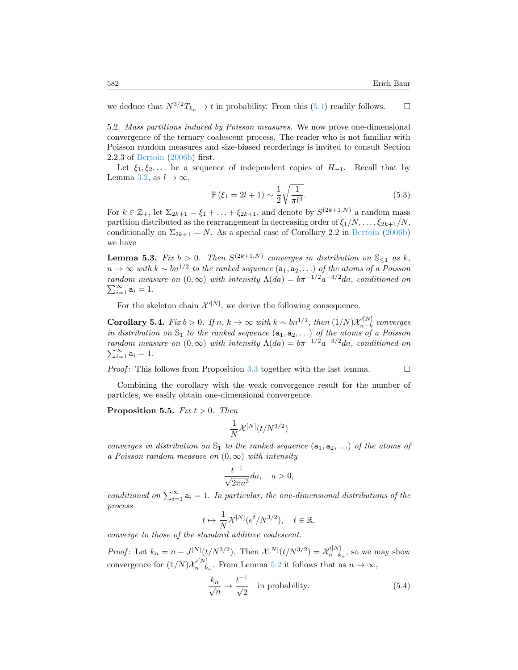wededuce that  $N^{3/2}T_{k_n} \to t$  in probability. From this ([5.1](#page-20-2)) readily follows.  $\square$ 

<span id="page-21-2"></span>5.2. *Mass partitions induced by Poisson measures.* We now prove one-dimensional convergence of the ternary coalescent process. The reader who is not familiar with Poisson random measures and size-biased reorderings is invited to consult Section 2.2.3 of [Bertoin](#page-28-6) ([2006b](#page-28-6)) first.

Let  $\xi_1, \xi_2, \ldots$  be a sequence of independent copies of  $H_{-1}$ . Recall that by Lemma [3.2,](#page-8-1) as  $l \to \infty$ ,

$$
\mathbb{P}(\xi_1 = 2l + 1) \sim \frac{1}{2} \sqrt{\frac{1}{\pi l^3}}.
$$
\n(5.3)

For  $k \in \mathbb{Z}_+$ , let  $\Sigma_{2k+1} = \xi_1 + \ldots + \xi_{2k+1}$ , and denote by  $S^{(2k+1,N)}$  a random mass partition distributed as the rearrangement in decreasing order of  $\xi_1/N, \ldots, \xi_{2k+1}/N$ , conditionally on  $\Sigma_{2k+1} = N$ . As a special case of Corollary 2.2 in [Bertoin](#page-28-6) ([2006b](#page-28-6)) we have

<span id="page-21-0"></span>**Lemma 5.3.** Fix  $b > 0$ . Then  $S^{(2k+1,N)}$  converges in distribution on  $\mathbb{S}_{\leq 1}$  as k,  $n \to \infty$  *with*  $k \sim bn^{1/2}$  to the ranked sequence  $(a_1, a_2, \ldots)$  of the atoms of a Poisson *random measure on*  $(0, \infty)$  *with intensity*  $\Lambda(da) = b\pi^{-1/2}a^{-3/2}da$ , *conditioned on*  $\sum_{i=1}^{\infty} \mathsf{a}_i = 1.$ 

For the skeleton chain  $\mathcal{X}^{\prime[N]}$ , we derive the following consequence.

<span id="page-21-3"></span>**Corollary 5.4.**  $Fix\ b > 0$ . If  $n, k \to \infty$  with  $k \sim bn^{1/2}$ , then  $(1/N) \mathcal{X}_{n-k}^{[N]}$ *n−k converges in distribution on*  $\mathbb{S}_1$  *to the ranked sequence*  $(a_1, a_2, \ldots)$  *of the atoms of a Poisson random measure on*  $(0, \infty)$  *with intensity*  $\Lambda(da) = b\pi^{-1/2}a^{-3/2}da$ , *conditioned on*  $\sum_{i=1}^{\infty} \mathsf{a}_i = 1.$ 

*Proof*: This follows from Proposition [3.3](#page-9-1) together with the last lemma.  $\Box$ 

Combining the corollary with the weak convergence result for the number of particles, we easily obtain one-dimensional convergence.

<span id="page-21-1"></span>**Proposition 5.5.** *Fix*  $t > 0$ *. Then* 

$$
\frac{1}{N}\mathcal{X}^{[N]}(t/N^{3/2})
$$

*converges in distribution on*  $\mathbb{S}_1$  *to the ranked sequence*  $(a_1, a_2, \ldots)$  *of the atoms of a Poisson random measure on*  $(0, \infty)$  *with intensity* 

$$
\frac{t^{-1}}{\sqrt{2\pi a^3}}da, \quad a>0,
$$

*conditioned on*  $\sum_{i=1}^{\infty} a_i = 1$ . In particular, the one-dimensional distributions of the *process*

$$
t \mapsto \frac{1}{N} \mathcal{X}^{[N]}(e^t/N^{3/2}), \quad t \in \mathbb{R},
$$

*converge to those of the standard additive coalescent.*

*Proof*: Let  $k_n = n - J^{[N]}(t/N^{3/2})$ . Then  $\mathcal{X}^{[N]}(t/N^{3/2}) = \mathcal{X}'^{[N]}_{n-k}$  $\binom{n}{n-k_n}$ , so we may show convergence for  $(1/N)\mathcal{X}_{n-k}^{'[N]}$  $n^{-k}$ <sup>*n*</sup><sup>*n*</sup></sup> $n$ <sup>*n*</sup> $+ \infty$ , From Lemma [5.2](#page-20-0) it follows that as  $n \to \infty$ ,

<span id="page-21-4"></span>
$$
\frac{k_n}{\sqrt{n}} \to \frac{t^{-1}}{\sqrt{2}} \quad \text{in probability.} \tag{5.4}
$$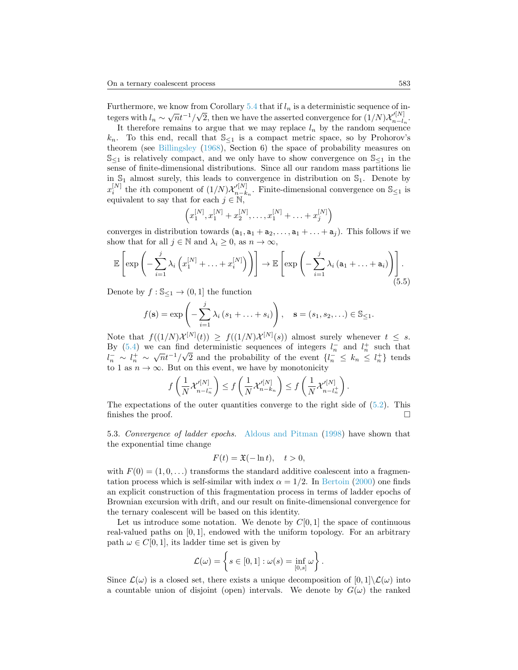Furthermore, we know from Corollary  $5.4$  that if  $l_n$  is a deterministic sequence of integers with  $l_n \sim \sqrt{n}t^{-1}/\sqrt{2}$ , then we have the asserted convergence for  $(1/N)\mathcal{X}_{n-l}^{[N]}$ *n−l<sup>n</sup>* .

It therefore remains to argue that we may replace  $l_n$  by the random sequence *k<sub>n</sub>*. To this end, recall that  $\mathbb{S}_{\leq 1}$  is a compact metric space, so by Prohorov's theorem (see [Billingsley](#page-28-8) ([1968\)](#page-28-8), Section 6) the space of probability measures on  $\mathbb{S}_{\leq 1}$  is relatively compact, and we only have to show convergence on  $\mathbb{S}_{\leq 1}$  in the sense of finite-dimensional distributions. Since all our random mass partitions lie in  $\mathbb{S}_1$  almost surely, this leads to convergence in distribution on  $\mathbb{S}_1$ . Denote by  $x_i^{[N]}$  the *i*<sup>th</sup> component of  $(1/N)\mathcal{X}'_{n-k}^{[N]}$  $\binom{n}{n-k_n}$ . Finite-dimensional convergence on S<sub>≤1</sub> is equivalent to say that for each  $j \in \mathbb{N}$ ,

$$
\left(x_1^{[N]}, x_1^{[N]} + x_2^{[N]}, \dots, x_1^{[N]} + \dots + x_j^{[N]}\right)
$$

converges in distribution towards  $(a_1, a_1 + a_2, \ldots, a_1 + \ldots + a_j)$ . This follows if we show that for all  $j \in \mathbb{N}$  and  $\lambda_i \geq 0$ , as  $n \to \infty$ ,

$$
\mathbb{E}\left[\exp\left(-\sum_{i=1}^j \lambda_i \left(x_1^{[N]} + \ldots + x_i^{[N]}\right)\right)\right] \to \mathbb{E}\left[\exp\left(-\sum_{i=1}^j \lambda_i \left(a_1 + \ldots + a_i\right)\right)\right].
$$
\n(5.5)

Denote by  $f : \mathbb{S}_{\leq 1} \to (0,1]$  the function

$$
f(\mathbf{s}) = \exp\left(-\sum_{i=1}^j \lambda_i \left(s_1 + \ldots + s_i\right)\right), \quad \mathbf{s} = (s_1, s_2, \ldots) \in \mathbb{S}_{\leq 1}.
$$

Note that  $f((1/N)\mathcal{X}^{[N]}(t)) \geq f((1/N)\mathcal{X}^{[N]}(s))$  almost surely whenever  $t \leq s$ . By [\(5.4](#page-21-4)) we can find deterministic sequences of integers  $l_n^-$  and  $l_n^+$  such that  $l_n^{-} \sim l_n^{+} \sim \sqrt{n} t^{-1}/\sqrt{2}$  and the probability of the event  $\{l_n^{-} \leq k_n \leq l_n^{+}\}\$  tends to 1 as  $n \to \infty$ . But on this event, we have by monotonicity

$$
f\left(\frac{1}{N} \mathcal{X}_{n-l_n}^{\prime [N]}\right) \le f\left(\frac{1}{N} \mathcal{X}_{n-k_n}^{\prime [N]}\right) \le f\left(\frac{1}{N} \mathcal{X}_{n-l_n}^{\prime [N]}\right).
$$

Theexpectations of the outer quantities converge to the right side of  $(5.2)$  $(5.2)$  $(5.2)$ . This finishes the proof.  $\Box$ 

5.3. *Convergence of ladder epochs.* [Aldous and Pitman](#page-27-2) [\(1998\)](#page-27-2) have shown that the exponential time change

$$
F(t) = \mathfrak{X}(-\ln t), \quad t > 0,
$$

with  $F(0) = (1, 0, \ldots)$  transforms the standard additive coalescent into a fragmentation process which is self-similar with index  $\alpha = 1/2$ . In [Bertoin](#page-27-1) [\(2000\)](#page-27-1) one finds an explicit construction of this fragmentation process in terms of ladder epochs of Brownian excursion with drift, and our result on finite-dimensional convergence for the ternary coalescent will be based on this identity.

Let us introduce some notation. We denote by  $C[0, 1]$  the space of continuous real-valued paths on [0*,* 1], endowed with the uniform topology. For an arbitrary path  $\omega \in C[0,1]$ , its ladder time set is given by

$$
\mathcal{L}(\omega) = \left\{ s \in [0,1] : \omega(s) = \inf_{[0,s]} \omega \right\}.
$$

Since  $\mathcal{L}(\omega)$  is a closed set, there exists a unique decomposition of  $[0,1]\setminus\mathcal{L}(\omega)$  into a countable union of disjoint (open) intervals. We denote by  $G(\omega)$  the ranked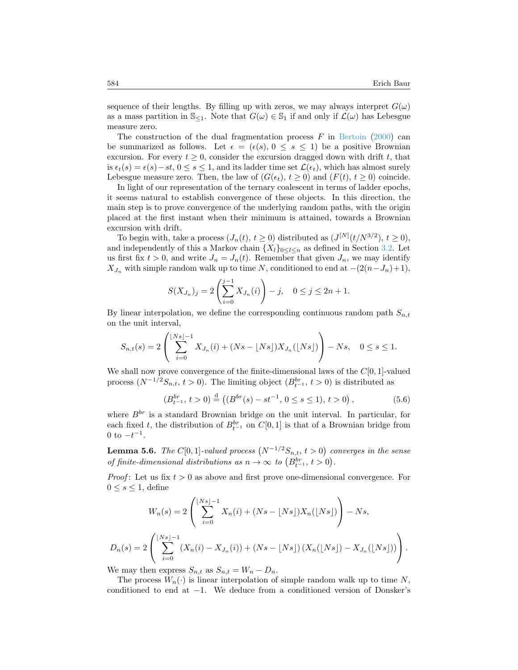sequence of their lengths. By filling up with zeros, we may always interpret  $G(\omega)$ as a mass partition in  $\mathbb{S}_{\leq 1}$ . Note that  $G(\omega) \in \mathbb{S}_1$  if and only if  $\mathcal{L}(\omega)$  has Lebesgue measure zero.

The construction of the dual fragmentation process  $F$  in [Bertoin](#page-27-1) ([2000\)](#page-27-1) can be summarized as follows. Let  $\epsilon = (\epsilon(s), 0 \le s \le 1)$  be a positive Brownian excursion. For every  $t \geq 0$ , consider the excursion dragged down with drift  $t$ , that is  $\epsilon_t(s) = \epsilon(s) - st$ , 0 ≤ *s* ≤ 1, and its ladder time set  $\mathcal{L}(\epsilon_t)$ , which has almost surely Lebesgue measure zero. Then, the law of  $(G(\epsilon_t), t \geq 0)$  and  $(F(t), t \geq 0)$  coincide.

In light of our representation of the ternary coalescent in terms of ladder epochs, it seems natural to establish convergence of these objects. In this direction, the main step is to prove convergence of the underlying random paths, with the origin placed at the first instant when their minimum is attained, towards a Brownian excursion with drift.

To begin with, take a process  $(J_n(t), t \ge 0)$  distributed as  $(J^{[N]}(t/N^{3/2}), t \ge 0)$ , and independently of this a Markov chain  $\{X_l\}_{0\leq l \leq n}$  as defined in Section [3.2.](#page-7-0) Let us first fix  $t > 0$ , and write  $J_n = J_n(t)$ . Remember that given  $J_n$ , we may identify *X*<sub>*J*<sup>n</sup></sub> with simple random walk up to time *N*, conditioned to end at  $-(2(n-J_n)+1)$ ,

$$
S(X_{J_n})_j = 2\left(\sum_{i=0}^{j-1} X_{J_n}(i)\right) - j, \quad 0 \le j \le 2n + 1.
$$

By linear interpolation, we define the corresponding continuous random path *Sn,t* on the unit interval,

$$
S_{n,t}(s) = 2\left(\sum_{i=0}^{\lfloor Ns \rfloor - 1} X_{J_n}(i) + (Ns - \lfloor Ns \rfloor) X_{J_n}(\lfloor Ns \rfloor)\right) - Ns, \quad 0 \le s \le 1.
$$

We shall now prove convergence of the finite-dimensional laws of the *C*[0*,* 1]-valued process  $(N^{-1/2}S_{n,t}, t > 0)$ . The limiting object  $(B_{t-1}^{br}, t > 0)$  is distributed as

$$
(B_{t-1}^{br}, t > 0) \stackrel{d}{=} ((B^{br}(s) - st^{-1}, 0 \le s \le 1), t > 0), \qquad (5.6)
$$

where  $B^{br}$  is a standard Brownian bridge on the unit interval. In particular, for each fixed *t*, the distribution of  $B_{t-1}^{br}$  on  $C[0,1]$  is that of a Brownian bridge from 0 to  $-t^{-1}$ .

**Lemma 5.6.** *The*  $C[0,1]$ -valued process  $(N^{-1/2}S_{n,t}, t > 0)$  converges in the sense *of finite-dimensional distributions as*  $n \to \infty$  *to*  $(B_{t-1}^{br}, t > 0)$ .

*Proof* : Let us fix *t >* 0 as above and first prove one-dimensional convergence. For  $0 ≤ s ≤ 1$ , define

$$
W_n(s) = 2\left(\sum_{i=0}^{\lfloor Ns \rfloor - 1} X_n(i) + (Ns - \lfloor Ns \rfloor) X_n(\lfloor Ns \rfloor)\right) - Ns,
$$
  

$$
D_n(s) = 2\left(\sum_{i=0}^{\lfloor Ns \rfloor - 1} (X_n(i) - X_{J_n}(i)) + (Ns - \lfloor Ns \rfloor) (X_n(\lfloor Ns \rfloor) - X_{J_n}(\lfloor Ns \rfloor))\right).
$$

We may then express  $S_{n,t}$  as  $S_{n,t} = W_n - D_n$ .

The process  $W_n(\cdot)$  is linear interpolation of simple random walk up to time N, conditioned to end at *−*1. We deduce from a conditioned version of Donsker's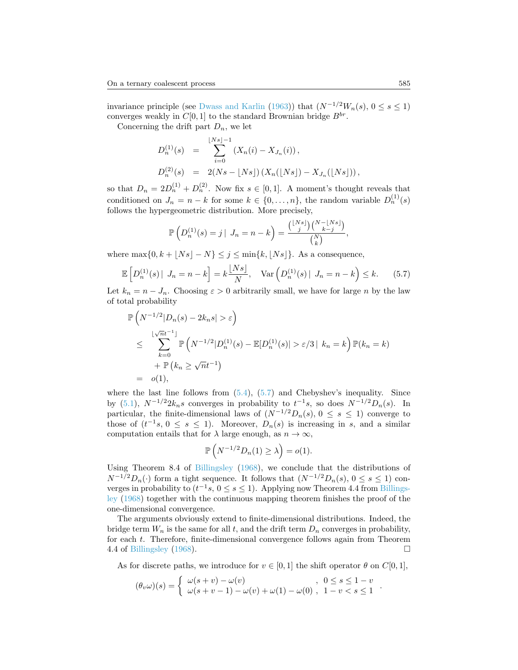invariance principle (see [Dwass and Karlin](#page-28-9) ([1963\)](#page-28-9)) that  $(N^{-1/2}W_n(s), 0 \le s \le 1)$ converges weakly in  $C[0, 1]$  to the standard Brownian bridge  $B^{br}$ .

Concerning the drift part  $D_n$ , we let

$$
D_n^{(1)}(s) = \sum_{i=0}^{\lfloor Ns \rfloor - 1} (X_n(i) - X_{J_n}(i)),
$$
  
\n
$$
D_n^{(2)}(s) = 2(Ns - \lfloor Ns \rfloor) (X_n(\lfloor Ns \rfloor) - X_{J_n}(\lfloor Ns \rfloor)),
$$

so that  $D_n = 2D_n^{(1)} + D_n^{(2)}$ . Now fix  $s \in [0,1]$ . A moment's thought reveals that conditioned on  $J_n = n - k$  for some  $k \in \{0, \ldots, n\}$ , the random variable  $D_n^{(1)}(s)$ follows the hypergeometric distribution. More precisely,

$$
\mathbb{P}\left(D_n^{(1)}(s) = j \mid J_n = n - k\right) = \frac{\binom{\lfloor Ns \rfloor}{j} \binom{N - \lfloor Ns \rfloor}{k-j}}{\binom{N}{k}},
$$

where  $\max\{0, k + \lfloor Ns \rfloor - N\} \leq j \leq \min\{k, \lfloor Ns \rfloor\}.$  As a consequence,

<span id="page-24-0"></span>
$$
\mathbb{E}\left[D_n^{(1)}(s) \mid J_n = n - k\right] = k \frac{\lfloor Ns \rfloor}{N}, \quad \text{Var}\left(D_n^{(1)}(s) \mid J_n = n - k\right) \le k. \tag{5.7}
$$

Let  $k_n = n - J_n$ . Choosing  $\varepsilon > 0$  arbitrarily small, we have for large *n* by the law of total probability

$$
\mathbb{P}\left(N^{-1/2}|D_n(s) - 2k_n s| > \varepsilon\right)
$$
\n
$$
\leq \sum_{k=0}^{\lfloor \sqrt{n}t^{-1} \rfloor} \mathbb{P}\left(N^{-1/2}|D_n^{(1)}(s) - \mathbb{E}[D_n^{(1)}(s)| > \varepsilon/3 \mid k_n = k\right) \mathbb{P}(k_n = k)
$$
\n
$$
+ \mathbb{P}\left(k_n \geq \sqrt{n}t^{-1}\right)
$$
\n
$$
= o(1),
$$

wherethe last line follows from  $(5.4)$  $(5.4)$ ,  $(5.7)$  $(5.7)$  and Chebyshev's inequality. Since by([5.1\)](#page-20-2),  $N^{-1/2}2k_n s$  converges in probability to  $t^{-1}s$ , so does  $N^{-1/2}D_n(s)$ . In particular, the finite-dimensional laws of  $(N^{-1/2}D_n(s), 0 \le s \le 1)$  converge to those of  $(t^{-1}s, 0 \le s \le 1)$ . Moreover,  $D_n(s)$  is increasing in *s*, and a similar computation entails that for  $\lambda$  large enough, as  $n \to \infty$ ,

$$
\mathbb{P}\left(N^{-1/2}D_n(1)\geq \lambda\right)=o(1).
$$

Using Theorem 8.4 of [Billingsley](#page-28-8) ([1968](#page-28-8)), we conclude that the distributions of  $N^{-1/2}D_n(\cdot)$  form a tight sequence. It follows that  $(N^{-1/2}D_n(s), 0 \le s \le 1)$  converges in probability to  $(t^{-1}s, 0 \le s \le 1)$ . Applying now Theorem 4.4 from [Billings](#page-28-8)[ley](#page-28-8) [\(1968](#page-28-8)) together with the continuous mapping theorem finishes the proof of the one-dimensional convergence.

The arguments obviously extend to finite-dimensional distributions. Indeed, the bridge term  $W_n$  is the same for all  $t$ , and the drift term  $D_n$  converges in probability, for each *t*. Therefore, finite-dimensional convergence follows again from Theorem 4.4 of [Billingsley](#page-28-8) [\(1968](#page-28-8)).

As for discrete paths, we introduce for  $v \in [0, 1]$  the shift operator  $\theta$  on  $C[0, 1]$ ,

*.*

$$
(\theta_v \omega)(s) = \begin{cases} \omega(s+v) - \omega(v) & , \quad 0 \le s \le 1-v \\ \omega(s+v-1) - \omega(v) + \omega(1) - \omega(0) & , \quad 1-v < s \le 1 \end{cases}
$$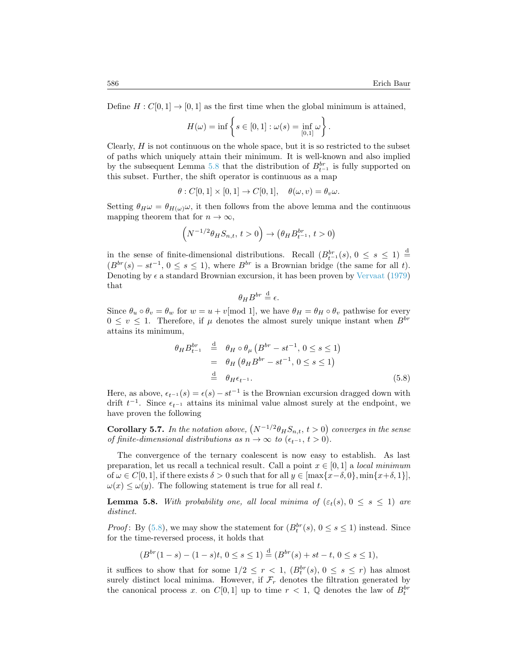Define  $H: C[0,1] \to [0,1]$  as the first time when the global minimum is attained,

$$
H(\omega) = \inf \left\{ s \in [0,1] : \omega(s) = \inf_{[0,1]} \omega \right\}.
$$

Clearly, *H* is not continuous on the whole space, but it is so restricted to the subset of paths which uniquely attain their minimum. It is well-known and also implied by the subsequent Lemma [5.8](#page-25-0) that the distribution of  $B_{t-1}^{br}$  is fully supported on this subset. Further, the shift operator is continuous as a map

$$
\theta: C[0,1] \times [0,1] \to C[0,1], \quad \theta(\omega, v) = \theta_v \omega.
$$

Setting  $\theta_H \omega = \theta_{H(\omega)} \omega$ , it then follows from the above lemma and the continuous mapping theorem that for  $n \to \infty$ ,

$$
\left(N^{-1/2}\theta_H S_{n,t},\, t>0\right) \to \left(\theta_H B_{t^{-1}}^{br},\, t>0\right)
$$

in the sense of finite-dimensional distributions. Recall  $(B_{t-1}^{br}(s), 0 \le s \le 1) \stackrel{d}{=}$  $(B^{br}(s) - st^{-1}, 0 \le s \le 1)$ , where  $B^{br}$  is a Brownian bridge (the same for all *t*). Denoting by  $\epsilon$  a standard Brownian excursion, it has been proven by [Vervaat](#page-28-10) ([1979](#page-28-10)) that

$$
\theta_H B^{br} \stackrel{\text{d}}{=} \epsilon.
$$

Since  $\theta_u \circ \theta_v = \theta_w$  for  $w = u + v \pmod{1}$ , we have  $\theta_H = \theta_H \circ \theta_v$  pathwise for every  $0 \leq v \leq 1$ . Therefore, if  $\mu$  denotes the almost surely unique instant when  $B^{br}$ attains its minimum,

<span id="page-25-1"></span>
$$
\theta_H B_{t-1}^{br} \stackrel{d}{=} \theta_H \circ \theta_\mu \left( B^{br} - st^{-1}, 0 \le s \le 1 \right)
$$
  
=  $\theta_H \left( \theta_H B^{br} - st^{-1}, 0 \le s \le 1 \right)$   

$$
\stackrel{d}{=} \theta_H \epsilon_{t-1}.
$$
 (5.8)

Here, as above,  $\epsilon_{t-1}(s) = \epsilon(s) - st^{-1}$  is the Brownian excursion dragged down with drift  $t^{-1}$ . Since  $\epsilon_{t^{-1}}$  attains its minimal value almost surely at the endpoint, we have proven the following

<span id="page-25-2"></span>**Corollary 5.7.** In the notation above,  $(N^{-1/2}\theta_H S_{n,t}, t > 0)$  converges in the sense *of finite-dimensional distributions as*  $n \to \infty$  *to* ( $\epsilon_{t-1}, t > 0$ ).

The convergence of the ternary coalescent is now easy to establish. As last preparation, let us recall a technical result. Call a point  $x \in [0, 1]$  a *local minimum*  $\alpha \in C[0, 1]$ , if there exists  $\delta > 0$  such that for all  $y \in [\max\{x-\delta, 0\}, \min\{x+\delta, 1\}]$ ,  $\omega(x) \leq \omega(y)$ . The following statement is true for all real *t*.

<span id="page-25-0"></span>**Lemma 5.8.** *With probability one, all local minima of*  $(\varepsilon_t(s), 0 \le s \le 1)$  *are distinct.*

*Proof*:By ([5.8\)](#page-25-1), we may show the statement for  $(B_t^{br}(s), 0 \le s \le 1)$  instead. Since for the time-reversed process, it holds that

$$
(B^{br}(1-s) - (1-s)t, 0 \le s \le 1) \stackrel{d}{=} (B^{br}(s) + st - t, 0 \le s \le 1),
$$

it suffices to show that for some  $1/2 \leq r < 1$ ,  $(B_t^{br}(s), 0 \leq s \leq r)$  has almost surely distinct local minima. However, if  $\mathcal{F}_r$  denotes the filtration generated by the canonical process *x·* on  $C[0,1]$  up to time  $r < 1$ , Q denotes the law of  $B_t^{br}$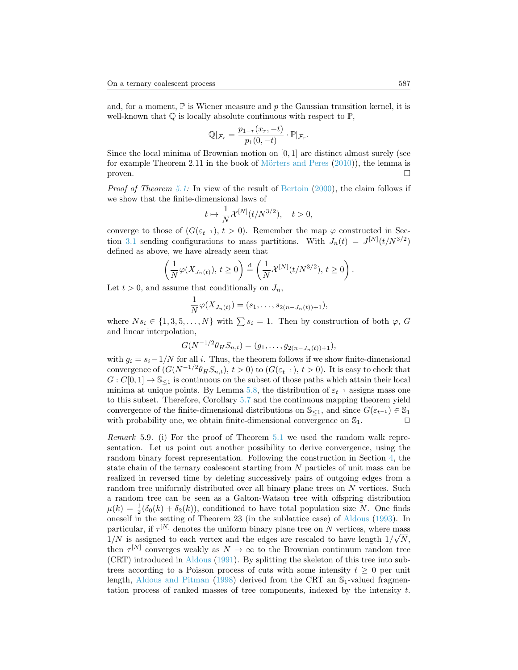and, for a moment,  $\mathbb P$  is Wiener measure and  $p$  the Gaussian transition kernel, it is well-known that  $\mathbb Q$  is locally absolute continuous with respect to  $\mathbb P$ ,

$$
\mathbb{Q}|_{\mathcal{F}_r} = \frac{p_{1-r}(x_r, -t)}{p_1(0, -t)} \cdot \mathbb{P}|_{\mathcal{F}_r}.
$$

Since the local minima of Brownian motion on [0*,* 1] are distinct almost surely (see for example Theorem 2.11 in the book of Mörters and Peres  $(2010)$  $(2010)$ , the lemma is proven.  $\Box$ 

*Proof of Theorem [5.1](#page-19-0):* In view of the result of [Bertoin](#page-27-1) [\(2000](#page-27-1)), the claim follows if we show that the finite-dimensional laws of

$$
t\mapsto \frac{1}{N}\mathcal{X}^{[N]}(t/N^{3/2}),\quad t>0,
$$

converge to those of  $(G(\varepsilon_{t-1}), t > 0)$ . Remember the map  $\varphi$  constructed in Sec-tion [3.1](#page-6-0) sending configurations to mass partitions. With  $J_n(t) = J^{[N]}(t/N^{3/2})$ defined as above, we have already seen that

$$
\left(\frac{1}{N}\varphi(X_{J_n(t)}), t\geq 0\right) \stackrel{\text{d}}{=} \left(\frac{1}{N}\mathcal{X}^{[N]}(t/N^{3/2}), t\geq 0\right).
$$

Let  $t > 0$ , and assume that conditionally on  $J_n$ ,

$$
\frac{1}{N}\varphi(X_{J_n(t)})=(s_1,\ldots,s_{2(n-J_n(t))+1}),
$$

where  $Ns_i \in \{1, 3, 5, \ldots, N\}$  with  $\sum s_i = 1$ . Then by construction of both  $\varphi$ , *G* and linear interpolation,

$$
G(N^{-1/2}\theta_H S_{n,t}) = (g_1, \ldots, g_{2(n-J_n(t))+1}),
$$

with  $g_i = s_i - 1/N$  for all *i*. Thus, the theorem follows if we show finite-dimensional convergence of  $(G(N^{-1/2}\theta_H S_{n,t}), t > 0)$  to  $(G(\varepsilon_{t-1}), t > 0)$ . It is easy to check that  $G: C[0,1] \to \mathbb{S}_{\leq 1}$  is continuous on the subset of those paths which attain their local minima at unique points. By Lemma [5.8](#page-25-0), the distribution of  $\varepsilon_{t-1}$  assigns mass one to this subset. Therefore, Corollary [5.7](#page-25-2) and the continuous mapping theorem yield convergence of the finite-dimensional distributions on  $\mathbb{S}_{\leq 1}$ , and since  $G(\varepsilon_{t-1}) \in \mathbb{S}_1$  with probability one, we obtain finite-dimensional convergence on  $\mathbb{S}_1$ . with probability one, we obtain finite-dimensional convergence on  $\mathbb{S}_1$ .

*Remark* 5.9*.* (i) For the proof of Theorem [5.1](#page-19-0) we used the random walk representation. Let us point out another possibility to derive convergence, using the random binary forest representation. Following the construction in Section [4](#page-13-0), the state chain of the ternary coalescent starting from *N* particles of unit mass can be realized in reversed time by deleting successively pairs of outgoing edges from a random tree uniformly distributed over all binary plane trees on *N* vertices. Such a random tree can be seen as a Galton-Watson tree with offspring distribution  $\mu(k) = \frac{1}{2}(\delta_0(k) + \delta_2(k))$ , conditioned to have total population size *N*. One finds oneself in the setting of Theorem 23 (in the sublattice case) of [Aldous](#page-27-3) [\(1993\)](#page-27-3). In particular, if  $\tau^{[N]}$  denotes the uniform binary plane tree on *N* vertices, where mass  $1/N$  is assigned to each vertex and the edges are rescaled to have length  $1/\sqrt{N}$ , then  $\tau^{[N]}$  converges weakly as  $N \to \infty$  to the Brownian continuum random tree (CRT) introduced in [Aldous](#page-27-4) ([1991\)](#page-27-4). By splitting the skeleton of this tree into subtrees according to a Poisson process of cuts with some intensity  $t \geq 0$  per unit length, [Aldous and Pitman](#page-27-2) ([1998\)](#page-27-2) derived from the CRT an  $S_1$ -valued fragmentation process of ranked masses of tree components, indexed by the intensity *t*.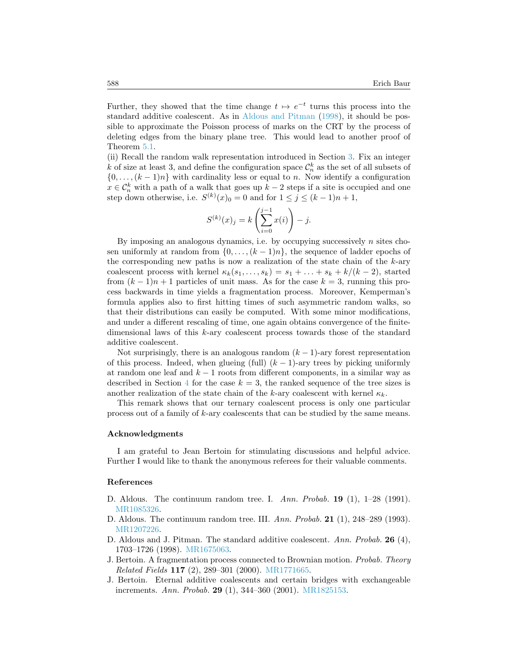Further, they showed that the time change  $t \mapsto e^{-t}$  turns this process into the standard additive coalescent. As in [Aldous and Pitman](#page-27-2) [\(1998](#page-27-2)), it should be possible to approximate the Poisson process of marks on the CRT by the process of deleting edges from the binary plane tree. This would lead to another proof of Theorem [5.1](#page-19-0).

(ii) Recall the random walk representation introduced in Section [3.](#page-5-0) Fix an integer *k* of size at least 3, and define the configuration space  $\mathcal{C}_n^k$  as the set of all subsets of *{*0*, . . . ,*(*k −* 1)*n}* with cardinality less or equal to *n*. Now identify a configuration *x* ∈  $\mathcal{C}_n^k$  with a path of a walk that goes up *k* − 2 steps if a site is occupied and one step down otherwise, i.e.  $S^{(k)}(x)_0 = 0$  and for  $1 \le j \le (k-1)n + 1$ ,

$$
S^{(k)}(x)_j = k \left( \sum_{i=0}^{j-1} x(i) \right) - j.
$$

By imposing an analogous dynamics, i.e. by occupying successively *n* sites chosen uniformly at random from  $\{0, \ldots, (k-1)n\}$ , the sequence of ladder epochs of the corresponding new paths is now a realization of the state chain of the *k*-ary coalescent process with kernel  $\kappa_k(s_1,\ldots,s_k) = s_1 + \ldots + s_k + k/(k-2)$ , started from  $(k-1)n + 1$  particles of unit mass. As for the case  $k = 3$ , running this process backwards in time yields a fragmentation process. Moreover, Kemperman's formula applies also to first hitting times of such asymmetric random walks, so that their distributions can easily be computed. With some minor modifications, and under a different rescaling of time, one again obtains convergence of the finitedimensional laws of this *k*-ary coalescent process towards those of the standard additive coalescent.

Not surprisingly, there is an analogous random  $(k-1)$ -ary forest representation of this process. Indeed, when glueing (full)  $(k-1)$ -ary trees by picking uniformly at random one leaf and *k −* 1 roots from different components, in a similar way as described in Section [4](#page-13-0) for the case  $k = 3$ , the ranked sequence of the tree sizes is another realization of the state chain of the *k*-ary coalescent with kernel  $\kappa_k$ .

This remark shows that our ternary coalescent process is only one particular process out of a family of *k*-ary coalescents that can be studied by the same means.

# **Acknowledgments**

I am grateful to Jean Bertoin for stimulating discussions and helpful advice. Further I would like to thank the anonymous referees for their valuable comments.

## **References**

- <span id="page-27-4"></span>D. Aldous. The continuum random tree. I. *Ann. Probab.* **19** (1), 1–28 (1991). [MR1085326.](http://www.ams.org/mathscinet-getitem?mr=MR1085326)
- <span id="page-27-3"></span>D. Aldous. The continuum random tree. III. *Ann. Probab.* **21** (1), 248–289 (1993). [MR1207226.](http://www.ams.org/mathscinet-getitem?mr=MR1207226)
- <span id="page-27-2"></span>D. Aldous and J. Pitman. The standard additive coalescent. *Ann. Probab.* **26** (4), 1703–1726 (1998). [MR1675063.](http://www.ams.org/mathscinet-getitem?mr=MR1675063)
- <span id="page-27-1"></span>J. Bertoin. A fragmentation process connected to Brownian motion. *Probab. Theory Related Fields* **117** (2), 289–301 (2000). [MR1771665](http://www.ams.org/mathscinet-getitem?mr=MR1771665).
- <span id="page-27-0"></span>J. Bertoin. Eternal additive coalescents and certain bridges with exchangeable increments. *Ann. Probab.* **29** (1), 344–360 (2001). [MR1825153](http://www.ams.org/mathscinet-getitem?mr=MR1825153).